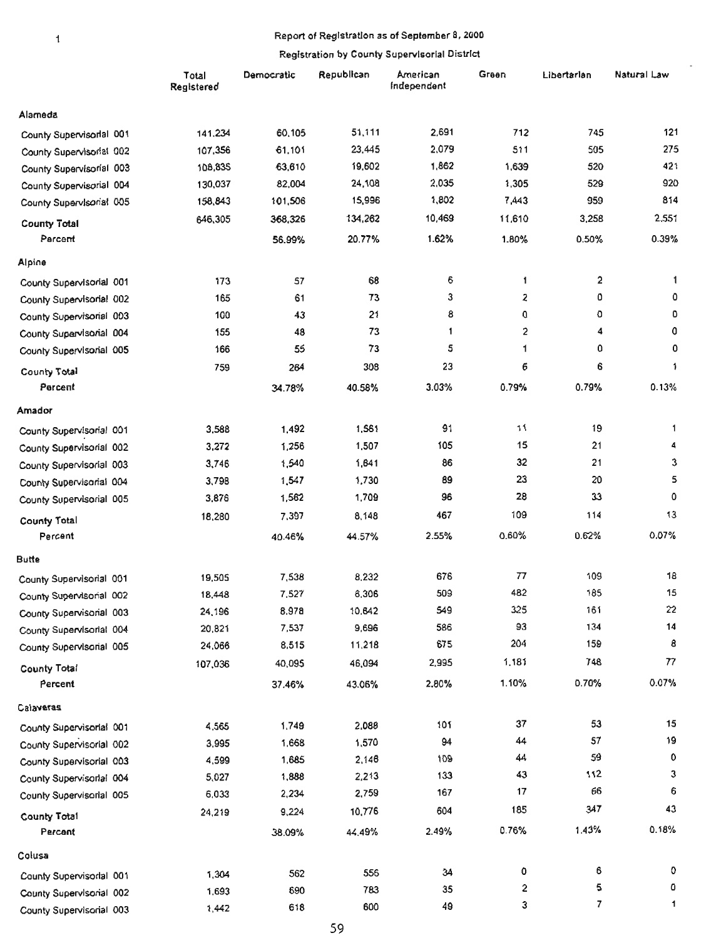#### Report of Registration as of September *8,2000*

|                          | Total<br>Registered | Democratic | Republican | American<br>Independent | Green  | Libertarlan  | Natural Law  |
|--------------------------|---------------------|------------|------------|-------------------------|--------|--------------|--------------|
| Alameda                  |                     |            |            |                         |        |              |              |
| County Supervisorial 001 | 141,234             | 60,105     | 51,111     | 2,691                   | 712    | 745          | 121          |
| County Supervisorial 002 | 107,356             | 61,101     | 23,445     | 2,079                   | 511    | 505          | 275          |
| County Supervisorial 003 | 108,835             | 63,610     | 19,602     | 1,862                   | 1,639  | 520          | 421          |
| County Supervisorial 004 | 130,037             | 82,004     | 24,108     | 2,035                   | 1,305  | 529          | 920          |
| County Supervisorial 005 | 158,843             | 101,506    | 15,996     | 1,802                   | 7,443  | 959          | 814          |
| <b>County Total</b>      | 646,305             | 368,326    | 134,262    | 10,469                  | 11,610 | 3,258        | 2,551        |
| Parcent                  |                     | 56.99%     | 20.77%     | 1.62%                   | 1.80%  | 0.50%        | 0.39%        |
| Alpine                   |                     |            |            |                         |        |              |              |
| County Supervisorial 001 | 173                 | 57         | 68         | 6                       | 1      | $\mathbf{2}$ | 1            |
| County Supervisorial 002 | 165                 | 61         | 73         | 3                       | 2      | ٥            | 0            |
| County Supervisorial 003 | 100                 | 43         | 21         | 8                       | 0      | O            | O            |
| County Supervisorial 004 | 155                 | 48         | 73         | $\mathbf{1}$            | 2      | 4            | 0            |
| County Supervisorial 005 | 166                 | 55         | 73         | 5                       | 1      | 0            | 0            |
| County Total             | 759                 | 264        | 308        | 23                      | 6      | 6            | 1            |
| Percent                  |                     | 34.78%     | 40.58%     | 3.03%                   | 0.79%  | 0.79%        | 0.13%        |
| Amador                   |                     |            |            |                         |        |              |              |
| County Supervisorial 001 | 3,588               | 1,492      | 1,561      | 91                      | 11     | 19           | $\mathbf{1}$ |
| County Supervisorial 002 | 3,272               | 1,256      | 1,507      | 105                     | 15     | 21           | 4            |
| County Supervisorial 003 | 3,746               | 1,540      | 1,641      | 86                      | 32     | 21           | 3            |
| County Supervisorial 004 | 3,798               | 1,547      | 1,730      | 89                      | 23     | 20           | 5            |
| County Supervisorial 005 | 3,876               | 1,562      | 1,709      | 96                      | 28     | 33           | 0            |
| <b>County Total</b>      | 18,280              | 7,397      | 8,148      | 467                     | 109    | 114          | 13           |
| Percent                  |                     | 40.46%     | 44.57%     | 2.55%                   | 0.60%  | 0.62%        | 0.07%        |
| <b>Butte</b>             |                     |            |            |                         |        |              |              |
| County Supervisorial 001 | 19,505              | 7,538      | 8,232      | 676                     | 77     | 109          | 18           |
| County Supervisorial 002 | 18,448              | 7,527      | 6,306      | 509                     | 482    | 185          | 15           |
| County Supervisorial 003 | 24,196              | 8.978      | 10,642     | 549                     | 325    | 161          | 22           |
| County Supervisorial 004 | 20,821              | 7,537      | 9,696      | 586                     | 93     | 134          | 14           |
| County Supervisorial 005 | 24,066              | 8,515      | 11,218     | 675                     | 204    | 159          | 8            |
| <b>County Total</b>      | 107,036             | 40,095     | 46,094     | 2,995                   | 1,181  | 748          | 77           |
| Percent                  |                     | 37.46%     | 43.06%     | 2.80%                   | 1.10%  | 0.70%        | 0.07%        |
| Calaveras                |                     |            |            |                         |        |              |              |
| County Supervisorial 001 | 4,565               | 1,749      | 2,088      | 101                     | 37     | 53           | 15           |
| County Supervisorial 002 | 3,995               | 1,668      | 1,570      | 94                      | 44     | 57           | 19           |
| County Supervisorial 003 | 4,599               | 1,685      | 2,146      | 109                     | 44     | 59           | 0            |
| County Supervisorial 004 | 5,027               | 1,888      | 2,213      | 133                     | 43     | 112          | 3            |
| County Supervisorial 005 | 6,033               | 2,234      | 2,759      | 167                     | 17     | 66           | 6            |
| <b>County Total</b>      | 24,219              | 9,224      | 10,776     | 604                     | 185    | 347          | 43           |
| Percent                  |                     | 38.09%     | 44.49%     | 2.49%                   | 0.76%  | 1.43%        | 0.18%        |
| Colusa                   |                     |            |            |                         |        |              |              |
| County Supervisorial 001 | 1,304               | 562        | 556        | 34                      | 0      | 6            | 0            |
| County Supervisorial 002 | 1,693               | 690        | 783        | 35                      | 2      | 5            | 0            |
| County Supervisorial 003 | 1,442               | 618        | 600        | 49                      | 3      | 7            | $\mathbf 1$  |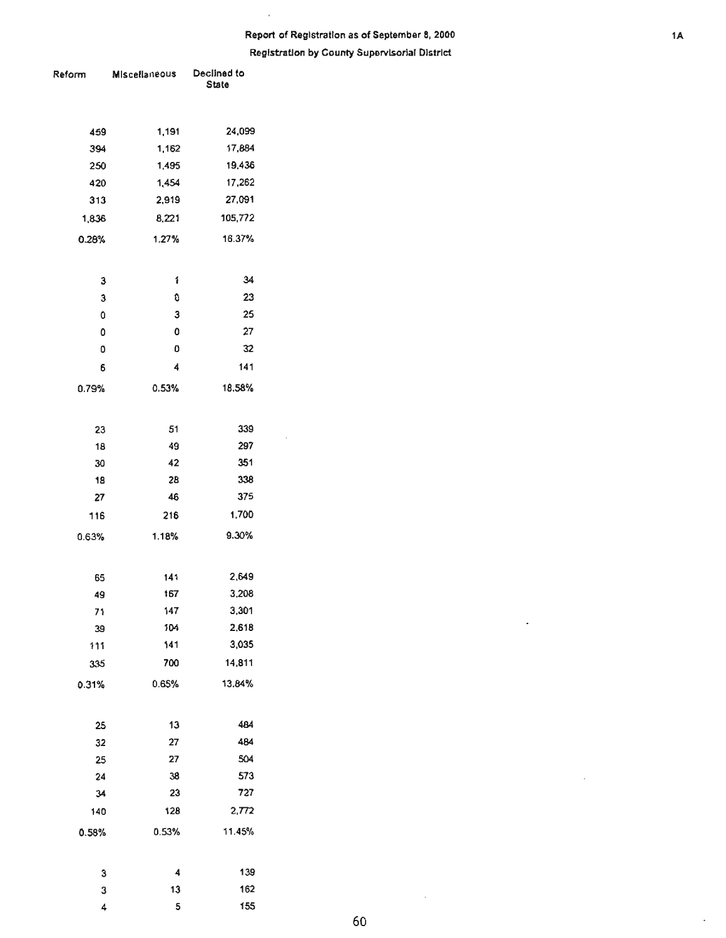# Report of Registration as of September 8, 2000 **language of September 8, 2000 language 14 Registration by County Supervisorial District**

 $\bar{1}$ 

 $\bar{z}$ 

| Reform | <b>Miscellaneous</b> | Declined to<br>State |  |  |
|--------|----------------------|----------------------|--|--|
|        |                      |                      |  |  |
| 459    | 1,191                | 24,099               |  |  |
| 394    | 1,162                | 17,884               |  |  |
| 250    | 1,495                | 19,436               |  |  |
| 420    | 1,454                | 17,262               |  |  |
| 313    | 2,919                | 27,091               |  |  |
| 1,836  | 8,221                | 105,772              |  |  |
| 0.28%  | 1.27%                | 16.37%               |  |  |
|        |                      |                      |  |  |
| З      | 1                    | 34                   |  |  |
| 3      | 0                    | 23                   |  |  |
| 0      | 3                    | 25                   |  |  |
| 0      | 0                    | 27                   |  |  |
| ٥      | ٥                    | 32                   |  |  |
| 6      | 4                    | 141                  |  |  |
| 0.79%  | 0.53%                | 18.58%               |  |  |
|        |                      |                      |  |  |
| 23     | 51                   | 339                  |  |  |
| 18     | 49                   | 297                  |  |  |
| 30     | 42                   | 351                  |  |  |
| 18     | <b>2B</b>            | 338                  |  |  |
| 27     | 46                   | 375                  |  |  |
| 116    | 216                  | 1,700                |  |  |
| 0.63%  | 1.18%                | 9.30%                |  |  |
|        |                      |                      |  |  |
| 65     | 141                  | 2,649                |  |  |
| 49     | 167                  | 3,208                |  |  |
| 71     | 147                  | 3,301                |  |  |
| 39     | 104                  | 2,618                |  |  |
| 111    | 141                  | 3,035                |  |  |
| 335    | 700                  | 14,811               |  |  |
| 0.31%  | 0.65%                | 13.84%               |  |  |
|        |                      |                      |  |  |
| 25     | 13                   | 484                  |  |  |
| 32     | 27                   | 484                  |  |  |
| 25     | 27                   | 504                  |  |  |
| 24     | 38                   | 573                  |  |  |
| 34     | 23                   | 727                  |  |  |
| 140    | 128                  | 2,772                |  |  |
| 0.58%  | 0.53%                | 11.45%               |  |  |
|        |                      |                      |  |  |
| 3      | 4                    | 139                  |  |  |
| 3      | 13                   | 162                  |  |  |
| 4      | 5                    | 155                  |  |  |

 $\cdot$ 

 $\mathcal{A}$ 

÷,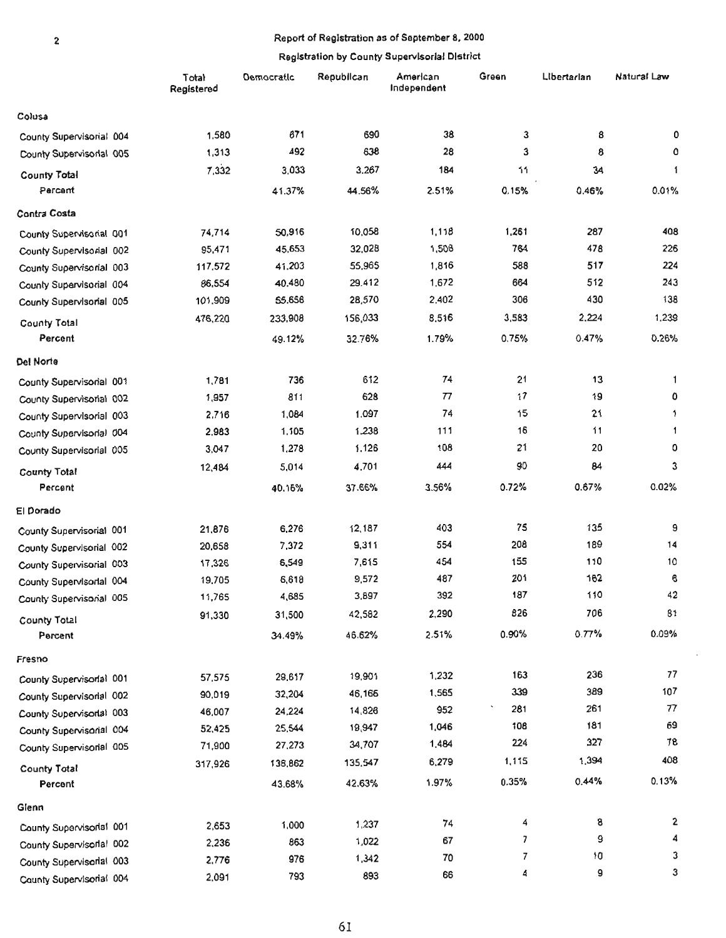#### 2 Report of Registration as of September 8, 2000

 $\mathbf 2$ 

|                          | <b>Total</b><br>Registered | Democratic | Republican | American<br>Independent | Green                    | Libertarian | Natural Law |
|--------------------------|----------------------------|------------|------------|-------------------------|--------------------------|-------------|-------------|
| Colusa                   |                            |            |            |                         |                          |             |             |
| County Supervisorial 004 | 1,580                      | 671        | 690        | 38                      | 3                        | 8           | 0           |
| County Supervisorlal 005 | 1,313                      | 492        | 638        | 28                      | 3                        | 8           | ٥           |
| County Total             | 7,332                      | 3,033      | 3,267      | 184                     | 11                       | 34          | 1           |
| Percent                  |                            | 41.37%     | 44.56%     | 2.51%                   | 0.15%                    | 0.46%       | 0.01%       |
| Contra Costa             |                            |            |            |                         |                          |             |             |
| County Supervisorial 001 | 74,714                     | 50,916     | 10,058     | 1,118                   | 1,261                    | 287         | 408         |
| County Supervisorial 002 | 95,471                     | 45,653     | 32,028     | 1,508                   | 764                      | 478         | 226         |
| County Supervisorial 003 | 117,572                    | 41,203     | 55,965     | 1,816                   | 588                      | 517         | 224         |
| County Supervisorial 004 | 86,554                     | 40,480     | 29.412     | 1,672                   | 664                      | 512         | 243         |
| County Supervisorial 005 | 101,909                    | 55,656     | 28,570     | 2,402                   | 306                      | 430         | 138         |
| <b>County Total</b>      | 476,220                    | 233,908    | 156,033    | 8,516                   | 3,583                    | 2,224       | 1,239       |
| Percent                  |                            | 49.12%     | 32.76%     | 1.79%                   | 0.75%                    | 0.47%       | 0.26%       |
| Del Norte                |                            |            |            |                         |                          |             |             |
| County Supervisorial 001 | 1,781                      | 736        | 612        | 74                      | 21                       | 13          | 1           |
| County Supervisorial 002 | 1,957                      | 811        | 628        | 77                      | 17                       | 19          | 0           |
| County Supervisorial 003 | 2,716                      | 1,084      | 1,097      | 74                      | 15                       | 21          | 1           |
| County Supervisorial 004 | 2,983                      | 1,105      | 1,238      | 111                     | 16                       | 11          | 1           |
| County Supervisorial 005 | 3,047                      | 1,278      | 1,126      | 108                     | 21                       | 20          | 0           |
| <b>County Total</b>      | 12,484                     | 5,014      | 4,701      | 444                     | 90                       | 84          | 3           |
| Percent                  |                            | 40.16%     | 37.66%     | 3.56%                   | 0.72%                    | 0.67%       | 0.02%       |
| El Dorado                |                            |            |            |                         |                          |             |             |
| County Supervisorial 001 | 21,876                     | 6,276      | 12,187     | 403                     | 75                       | 135         | 9           |
| County Supervisorial 002 | 20,658                     | 7,372      | 9,311      | 554                     | 208                      | 189         | 14          |
| County Supervisorial 003 | 17,326                     | 6,549      | 7,615      | 454                     | 155                      | 110         | 10          |
| County Supervisorial 004 | 19,705                     | 6,618      | 9,572      | 487                     | 201                      | 162         | 6           |
| County Supervisorial 005 | 11,765                     | 4,685      | 3,897      | 392                     | 187                      | 110         | 42          |
| County Total             | 91,330                     | 31,500     | 42,582     | 2,290                   | 826                      | 706         | 81          |
| Percent                  |                            | 34.49%     | 46.62%     | 2.51%                   | 0.90%                    | 0.77%       | 0.09%       |
| Fresno                   |                            |            |            |                         |                          |             |             |
| County Supervisorial 001 | 57,575                     | 29,617     | 19,901     | 1,232                   | 163                      | 236         | 77          |
| County Supervisorial 002 | 90,019                     | 32,204     | 46,166     | 1,565                   | 339                      | 389         | 107         |
| County Supervisorial 003 | 46,007                     | 24,224     | 14,826     | 952                     | 281                      | 261         | 77          |
| County Supervisorial 004 | 52,425                     | 25,544     | 19,947     | 1,046                   | 108                      | 181         | 69          |
| County Supervisorial 005 | 71,900                     | 27,273     | 34,707     | 1,484                   | 224                      | 327         | 78          |
| County Total             | 317,926                    | 138,862    | 135,547    | 6,279                   | 1,115                    | 1,394       | 408         |
| Percent                  |                            | 43.68%     | 42.63%     | 1.97%                   | 0.35%                    | 0.44%       | 0.13%       |
| Glenn                    |                            |            |            |                         |                          |             |             |
| County Supervisorial 001 | 2,653                      | 1,000      | 1,237      | 74                      | 4                        | 8           | 2           |
| County Supervisorial 002 | 2,236                      | 863        | 1,022      | 67                      | $\overline{\phantom{a}}$ | 9           | 4           |
| County Supervisorial 003 | 2,776                      | 976        | 1,342      | 70                      | 7                        | 10          | 3           |
| County Supervisorial 004 | 2,091                      | 793        | 893        | 66                      | 4                        | 9           | 3           |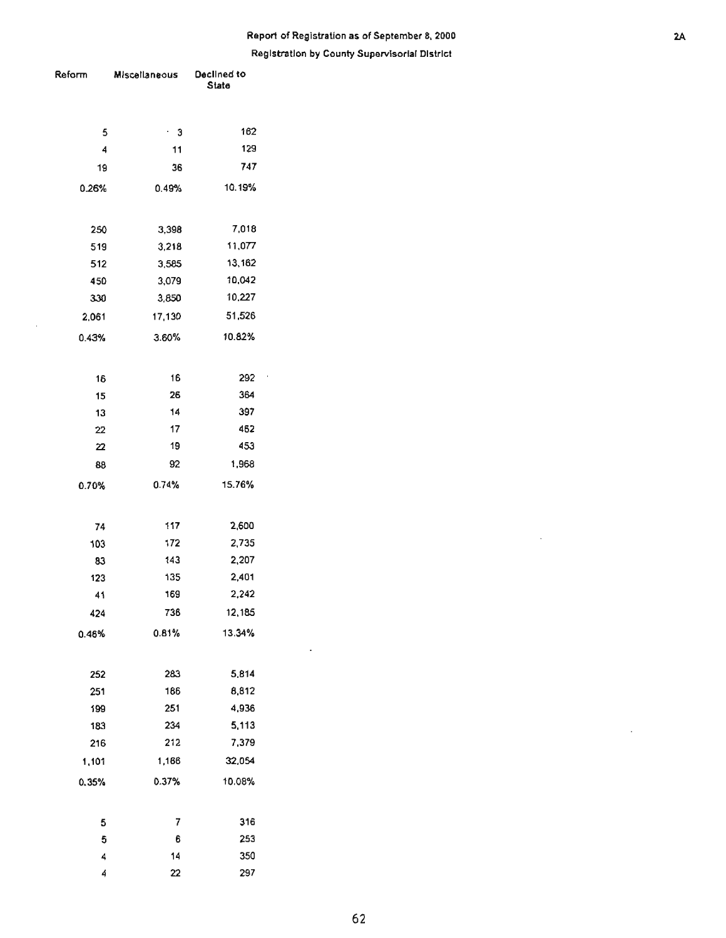# **Report of Registration as of September 8, 2000** 2A

**Registration by County Supervisorial District** 

| Reform         | Miscellaneous  | Declined to<br><b>State</b> |  |  |
|----------------|----------------|-----------------------------|--|--|
|                |                |                             |  |  |
| 5              | • 3            | 162                         |  |  |
| $\overline{4}$ | 11             | 129                         |  |  |
| 19             | 36             | 747                         |  |  |
| 0.26%          | 0.49%          | 10.19%                      |  |  |
|                |                |                             |  |  |
| 250            | 3,398          | 7,018                       |  |  |
| 519            | 3,218          | 11,077                      |  |  |
| 512            | 3,585          | 13,162<br>10,042            |  |  |
| 450<br>330     | 3,079<br>3,850 | 10,227                      |  |  |
|                |                |                             |  |  |
| 2.061          | 17,130         | 51,526                      |  |  |
| 0.43%          | 3.60%          | 10.82%                      |  |  |
| 16             | 16             | 292                         |  |  |
| 15             | 26             | 364                         |  |  |
| 13             | 14             | 397                         |  |  |
| 22             | 17             | 462                         |  |  |
| 22             | 19             | 453                         |  |  |
| 88             | 92             | 1,968                       |  |  |
| 0.70%          | 0.74%          | 15.76%                      |  |  |
|                |                |                             |  |  |
| 74             | 117            | 2,600                       |  |  |
| 103            | 172            | 2,735                       |  |  |
| 83             | 143            | 2,207                       |  |  |
| 123            | 135            | 2,401                       |  |  |
| 41             | 169            | 2,242                       |  |  |
| 424            | 736            | 12,185                      |  |  |
| 0.46%          | 0.81%          | 13.34%                      |  |  |
|                |                |                             |  |  |
| 252            | 283            | 5,814                       |  |  |
| 251            | 186            | 8,812                       |  |  |
| 199            | 251            | 4,936<br>5,113              |  |  |
| 183            | 234            |                             |  |  |
| 216            | 212            | 7,379                       |  |  |
| 1,101          | 1,166          | 32,054                      |  |  |
| 0.35%          | 0.37%          | 10.08%                      |  |  |
| 5              | 7              | 316                         |  |  |
| 5              | 6              | 253                         |  |  |
| 4              | 14             | 350                         |  |  |
| 4              | 22             | 297                         |  |  |

 $\hat{\mathcal{A}}$ 

 $\mathcal{L}_{\mathcal{A}}$ 

 $\cdot$ 

 $\bar{\beta}$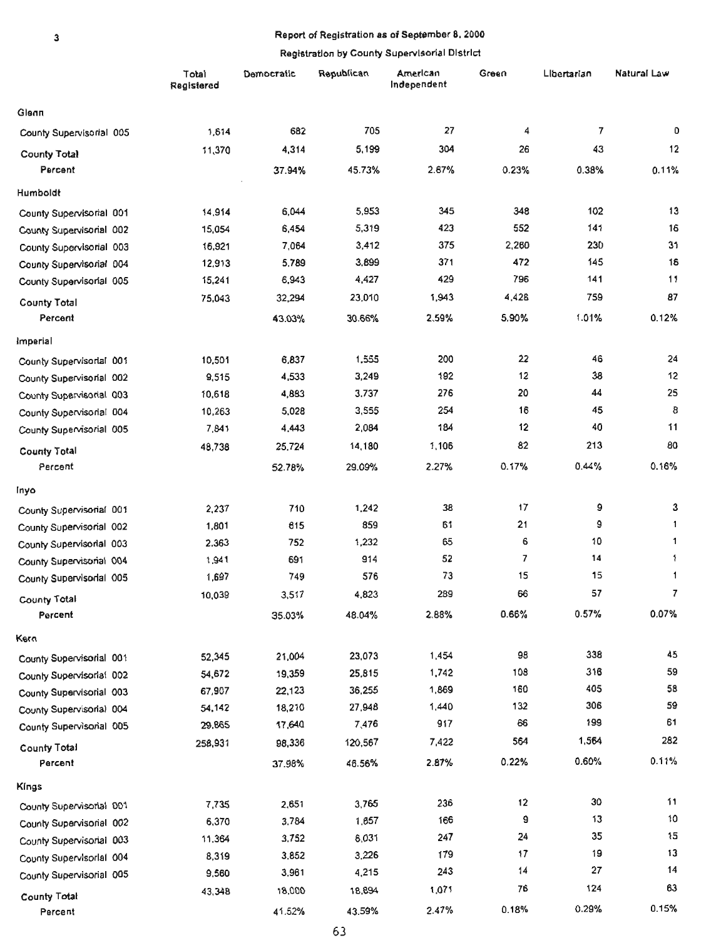#### Report of Registration as of September 8, 2000

#### Registration by County Supervisorial District

|                                                      | Total<br>Registered | Democratic | Republican | American<br>Independent | Green    | Libertarian | Natural Law |
|------------------------------------------------------|---------------------|------------|------------|-------------------------|----------|-------------|-------------|
| Glenn                                                |                     |            |            |                         |          |             |             |
| County Supervisorial 005                             | 1,614               | 682        | 705        | 27                      | 4        | 7           | 0           |
| <b>County Total</b>                                  | 11,370              | 4,314      | 5,199      | 304                     | 26       | 43          | 12          |
| Percent                                              |                     | 37.94%     | 45.73%     | 2.67%                   | 0.23%    | 0.38%       | 0.11%       |
| Humboldt                                             |                     |            |            |                         |          |             |             |
| County Supervisorial 001                             | 14,914              | 6,044      | 5,953      | 345                     | 348      | 102         | 13          |
| County Supervisorial 002                             | 15,054              | 6,454      | 5,319      | 423                     | 552      | 141         | 16          |
| County Supervisorial 003                             | 16,921              | 7,064      | 3,412      | 375                     | 2,260    | 230         | 31          |
| County Supervisorial 004                             | 12,913              | 5,789      | 3,899      | 371                     | 472      | 145         | 18          |
| County Supervisorial 005                             | 15,241              | 6,943      | 4,427      | 429                     | 796      | 141         | 11          |
| <b>County Total</b>                                  | 75,043              | 32,294     | 23,010     | 1,943                   | 4,428    | 759         | 87          |
| Percent                                              |                     | 43.03%     | 30.66%     | 2.59%                   | 5.90%    | 1.01%       | 0.12%       |
| Imperial                                             |                     |            |            |                         |          |             |             |
| County Supervisorial 001                             | 10,501              | 6,837      | 1.555      | 200                     | 22       | 46          | 24          |
| County Supervisorial 002                             | 9,515               | 4,533      | 3,249      | 192                     | 12       | 38          | 12          |
| County Supervisorial 003                             | 10,618              | 4,883      | 3.737      | 276                     | 20       | 44          | 25          |
| County Supervisorial 004                             | 10,263              | 5,028      | 3,555      | 254                     | 16       | 45          | 8           |
| County Supervisorial 005                             | 7,841               | 4,443      | 2,084      | 184                     | 12       | 40          | 11          |
| <b>County Total</b>                                  | 48,738              | 25,724     | 14,180     | 1,106                   | 82       | 213         | 80          |
| Percent                                              |                     | 52.78%     | 29.09%     | 2.27%                   | 0.17%    | 0.44%       | 0.16%       |
| inyo                                                 |                     |            |            |                         |          |             |             |
| County Supervisorial 001                             | 2,237               | 710        | 1,242      | 38                      | 17       | 9           | 3           |
| County Supervisorial 002                             | 1,801               | 615        | 859        | 61                      | 21       | 9           | 1           |
| County Supervisorial 003                             | 2.363               | 752        | 1,232      | 65                      | 6        | 10          | 1           |
| County Supervisorial 004                             | 1,941               | 691        | 914        | 52                      | 7        | 14          | $\ddagger$  |
| County Supervisorial 005                             | 1,697               | 749        | 576        | 73                      | 15       | 15          | 1           |
| <b>County Total</b>                                  | 10,039              | 3,517      | 4,823      | 289                     | 66       | 57          | 7           |
| Percent                                              |                     | 35.03%     | 48.04%     | 2.88%                   | 0.66%    | 0.57%       | 0.07%       |
|                                                      |                     |            |            |                         |          |             |             |
| Kern                                                 |                     | 21,004     | 23,073     | 1,454                   | 98       | 338         | 45          |
| County Supervisorial 001                             | 52,345              | 19,359     | 25,815     | 1,742                   | 108      | 316         | 59          |
| County Supervisorial 002                             | 54,672<br>67,907    | 22,123     | 36,255     | 1,869                   | 160      | 405         | 58          |
| County Supervisorial 003                             | 54,142              | 18,210     | 27,948     | 1,440                   | 132      | 306         | 59          |
| County Supervisorial 004<br>County Supervisorial 005 | 29,865              | 17,640     | 7,476      | 917                     | 66       | 199         | 61          |
|                                                      | 258,931             | 98,336     | 120,567    | 7,422                   | 564      | 1,564       | 282         |
| <b>County Total</b>                                  |                     |            |            |                         | 0.22%    | 0.60%       | 0.11%       |
| Percent                                              |                     | 37.98%     | 46.56%     | 2.87%                   |          |             |             |
| Kings                                                |                     |            |            |                         |          |             | 11          |
| County Supervisorial 001                             | 7,735               | 2,651      | 3,765      | 236                     | 12       | 30<br>13    | $10$        |
| County Supervisorial 002                             | 6,370               | 3,784      | 1,657      | 166                     | 9        | 35          | 15          |
| County Supervisorial 003                             | 11,364              | 3,752      | 6,031      | 247                     | 24<br>17 | 19          | 13          |
| County Supervisorial 004                             | 8,319               | 3,852      | 3,226      | 179                     | 14       | 27          | 14          |
| County Supervisorial 005                             | 9,560               | 3,961      | 4,215      | 243                     |          | 124         | 63          |
| County Total                                         | 43,348              | 18,000     | 18,894     | 1,071                   | 76       |             |             |
| Percent                                              |                     | 41.52%     | 43.59%     | 2.47%                   | 0.18%    | 0.29%       | 0.15%       |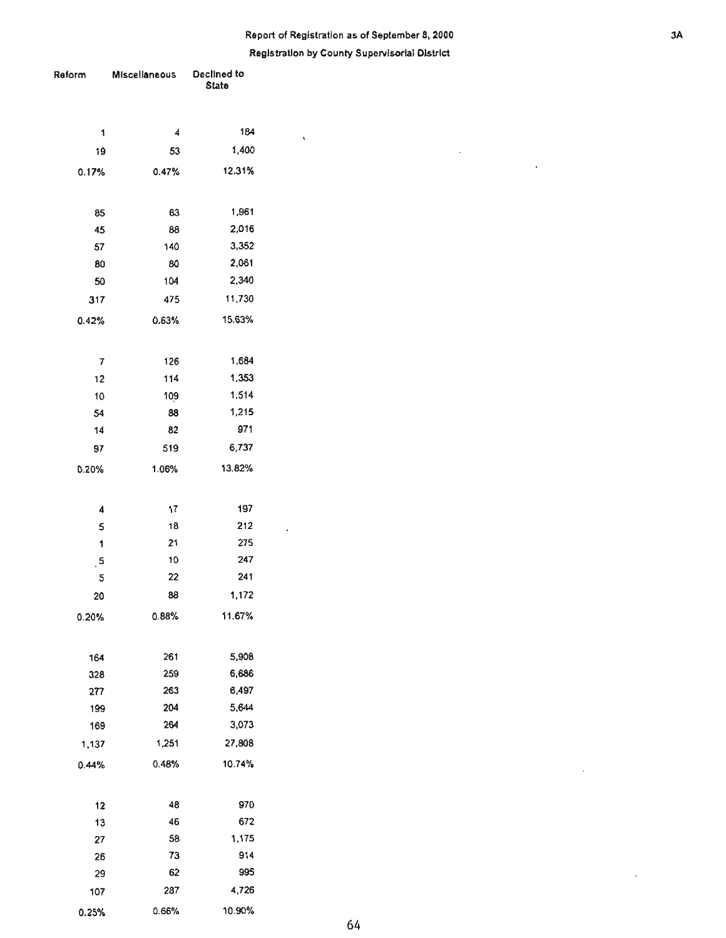# **Report of Registration as of September 8, 2000** 3. **Registration by County Supervisorial District**

 $\bar{z}$ 

 $\overline{a}$ 

 $\bar{z}$ 

 $\bar{\epsilon}$ 

 $\bar{\mathbf{v}}$ 

 $\ddot{\phantom{a}}$ 

| Reform  | Miscellaneous | Declined to<br><b>State</b> |  |  |
|---------|---------------|-----------------------------|--|--|
| 1       | 4             | 184                         |  |  |
| 19      | 53            | 1,400                       |  |  |
| 0.17%   | 0.47%         | 12.31%                      |  |  |
| 85      | 63            | 1,961                       |  |  |
| 45      | 88            | 2,016                       |  |  |
| 57      | 140           | 3,352                       |  |  |
| 80      | 80            | 2,061                       |  |  |
| 50      | 104           | 2,340                       |  |  |
| 317     | 475           | 11,730                      |  |  |
| 0.42%   | 0.63%         | 15.63%                      |  |  |
| 7       | 126           | 1,684                       |  |  |
| 12      | 114           | 1,353                       |  |  |
| 10      | 109           | 1,514                       |  |  |
| 54      | 88            | 1,215                       |  |  |
| 14      | 82            | 971                         |  |  |
| 97      | 519           | 6,737                       |  |  |
| 0.20%   | 1.06%         | 13.82%                      |  |  |
| 4       | 17            | 197                         |  |  |
| 5       | 18            | 212                         |  |  |
| 1       | 21            | 275                         |  |  |
| $\cdot$ | 10            | 247                         |  |  |
| 5       | 22            | 241                         |  |  |
| 20      | 88            | 1,172                       |  |  |
| 0.20%   | 0.88%         | 11.67%                      |  |  |
| 164     | 261           | 5,908                       |  |  |
| 328     | 259           | 6,686                       |  |  |
| 277     | 263           | 6,497                       |  |  |
| 199     | 204           | 5,644                       |  |  |
| 169     | 264           | 3,073                       |  |  |
| 1,137   | 1,251         | 27,808                      |  |  |
| 0.44%   | 0.48%         | 10.74%                      |  |  |
| 12      | 48            | 970                         |  |  |
| 13      | 46            | 672                         |  |  |
| 27      | 58            | 1,175                       |  |  |
| 26      | 73            | 914                         |  |  |
| 29      | 62            | 995                         |  |  |
| 107     | 287           | 4,726                       |  |  |
| 0.25%   | 0.66%         | 10.90%                      |  |  |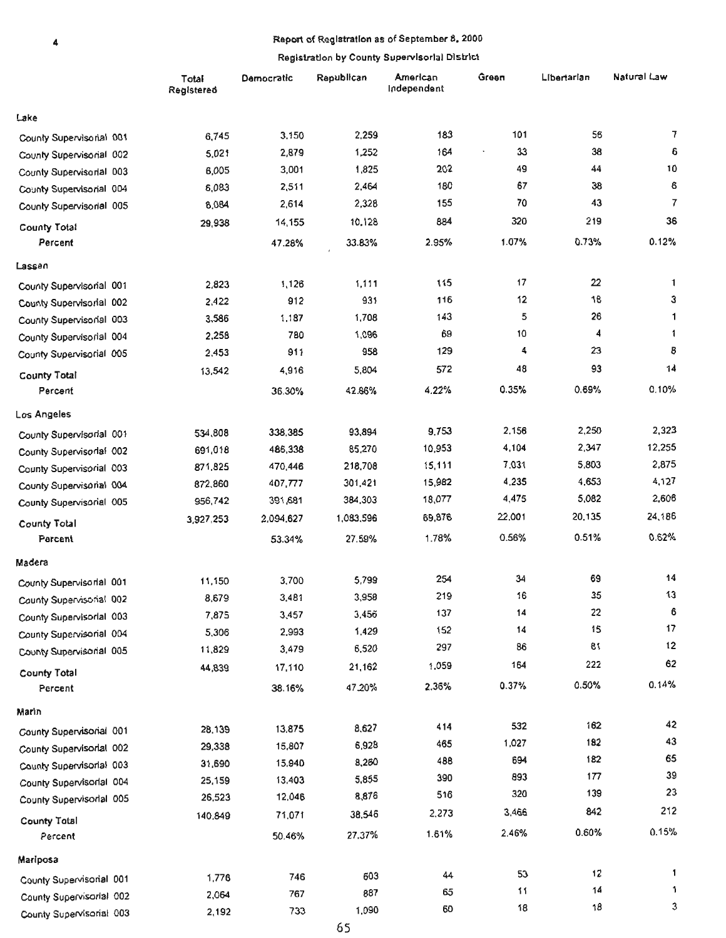#### $\ddot{4}$

# • Report of Registration as of September 8, 2000

|                          | Total<br>Registered | Democratic | Rapublican | American<br>Independent | Green  | Libertarian | Natural Law |
|--------------------------|---------------------|------------|------------|-------------------------|--------|-------------|-------------|
| Lake                     |                     |            |            |                         |        |             |             |
| County Supervisorial 001 | 6,745               | 3,150      | 2,259      | 183                     | 101    | 56          | 7           |
| County Supervisorial 002 | 5,021               | 2,879      | 1,252      | 164                     | 33     | 38          | e           |
| County Supervisorial 003 | 6,005               | 3,001      | 1,825      | 202                     | 49     | 44          | 10          |
| County Supervisorial 004 | 6,083               | 2,511      | 2,464      | 180                     | 67     | 38          | 6           |
| County Supervisorial 005 | 6,084               | 2,614      | 2,328      | 155                     | 70     | 43          | 7           |
| County Total             | 29,938              | 14,155     | 10.128     | 884                     | 320    | 219         | 36          |
| Percent                  |                     | 47.28%     | 33.83%     | 2.95%                   | 1.07%  | 0.73%       | 0.12%       |
| Lassen                   |                     |            |            |                         |        |             |             |
| County Supervisorial 001 | 2,823               | 1,126      | 1,111      | 115                     | 17     | 22          | 1           |
| County Supervisorial 002 | 2,422               | 912        | 931        | 116                     | 12     | 18          | 3           |
| County Supervisorial 003 | 3,586               | 1,187      | 1,708      | 143                     | 5      | 26          | 1           |
| County Supervisorial 004 | 2,258               | 780        | 1,096      | 69                      | 10     | 4           | 1           |
| County Supervisorial 005 | 2,453               | 911        | 958        | 129                     | 4      | 23          | 8           |
| <b>County Total</b>      | 13,542              | 4,916      | 5,804      | 572                     | 48     | 93          | 14          |
| Percent                  |                     | 36.30%     | 42.86%     | 4.22%                   | 0.35%  | 0.69%       | 0.10%       |
| Los Angeles              |                     |            |            |                         |        |             |             |
| County Supervisorial 001 | 534,808             | 338,385    | 93,894     | 9,753                   | 2,156  | 2,250       | 2,323       |
| County Supervisorial 002 | 691,018             | 486,338    | 85,270     | 10,953                  | 4,104  | 2,347       | 12,255      |
| County Supervisorial 003 | 871,825             | 470,446    | 218,708    | 15,111                  | 7,031  | 5,803       | 2,875       |
| County Supervisorial 004 | 872,860             | 407,777    | 301,421    | 15,982                  | 4,235  | 4,653       | 4,127       |
| County Supervisorial 005 | 956,742             | 391,681    | 384,303    | 18,077                  | 4,475  | 5,082       | 2,606       |
| <b>County Total</b>      | 3,927,253           | 2,094,627  | 1,083,596  | 69,876                  | 22,001 | 20,135      | 24,186      |
| Parcent                  |                     | 53.34%     | 27.59%     | 1.78%                   | 0.56%  | 0.51%       | 0.62%       |
| Madera                   |                     |            |            |                         |        |             |             |
| County Supervisorial 001 | 11,150              | 3,700      | 5,799      | 254                     | 34     | 69          | 14          |
| County Supervisorial 002 | 8,679               | 3,481      | 3,958      | 219                     | 16     | 35          | 13          |
| County Supervisorial 003 | 7,875               | 3,457      | 3,456      | 137                     | 14     | 22          | 6           |
| County Supervisorial 004 | 5,306               | 2,993      | 1,429      | 152                     | 14     | 15          | 17          |
| County Supervisorial 005 | 11,829              | 3,479      | 6,520      | 297                     | 86     | 81          | 12          |
| County Total             | 44,839              | 17,110     | 21,162     | 1,059                   | 164    | 222         | 62          |
| Percent                  |                     | 38.16%     | 47.20%     | 2.36%                   | 0.37%  | 0.50%       | 0.14%       |
| Marin                    |                     |            |            |                         |        |             |             |
| County Supervisorial 001 | 28,139              | 13,875     | 8,627      | 414                     | 532    | 162         | 42          |
| County Supervisorial 002 | 29,338              | 15,807     | 6,928      | 465                     | 1,027  | 182         | 43          |
| County Supervisorial 003 | 31,690              | 15,940     | 8,260      | 48B                     | 694    | 182         | 65          |
| County Supervisorial 004 | 25,159              | 13,403     | 5,855      | 390                     | 893    | 177         | 39          |
| County Supervisorial 005 | 26,523              | 12,046     | 8,876      | 516                     | 320    | 139         | 23          |
| <b>County Total</b>      | 140,849             | 71,071     | 38,546     | 2,273                   | 3,466  | 842         | 212         |
| Percent                  |                     | 50.46%     | 27.37%     | 1.61%                   | 2.46%  | 0.60%       | 0.15%       |
| Mariposa                 |                     |            |            |                         |        |             |             |
| County Supervisorial 001 | 1,776               | 746        | 603        | 44                      | 53     | 12          | 1           |
| County Supervisorial 002 | 2,064               | 767        | 887        | 65                      | 11     | 14          | 1           |
| County Supervisorial 003 | 2,192               | 733        | 1,090      | 60                      | 18     | 18          | 3           |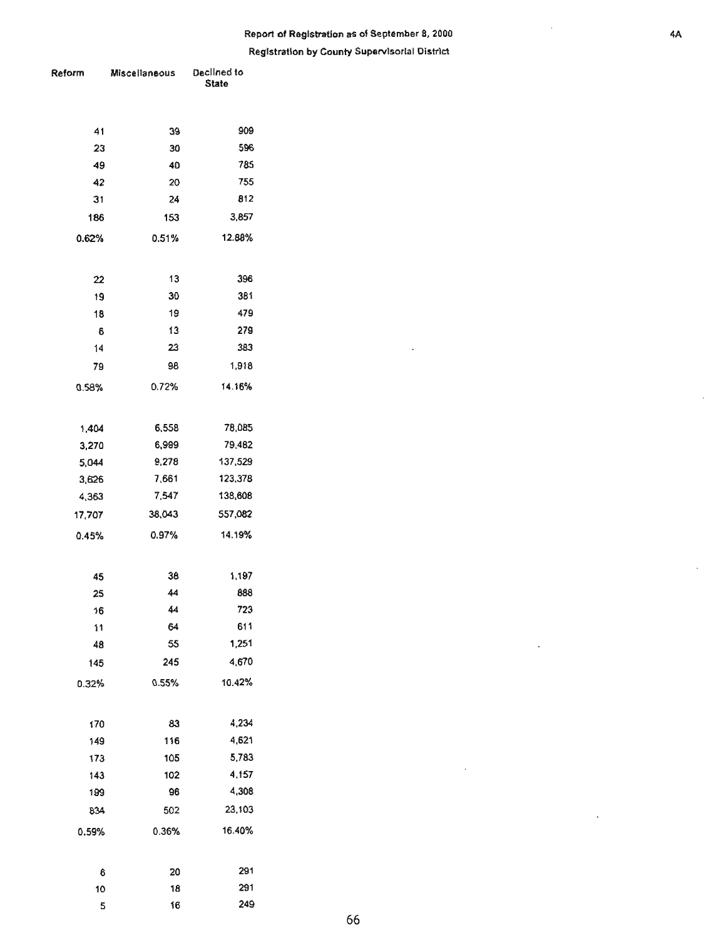# **Report of Registration as of September 8, 2000** 4.

**Registration by County Supervisorial District** 

| <b>≀eform</b> | Miscellaneous | Declined to<br><b>State</b> |
|---------------|---------------|-----------------------------|
|               |               |                             |
| 41            | 39            | 909                         |
| 23            | 30            | 596                         |
| -49           | 40            | 785                         |
| 42            | 20            | 755                         |
| 31            | 24            | 812                         |
| 186           | 153           | 3,857                       |
| 0.62%         | 0.51%         | 12.88%                      |
|               |               |                             |
| 22            | 13            | 396                         |
| 19            | 30            | 381                         |
| 18            | 19            | 479                         |
| 6             | 13            | 279                         |
| 14            | 23            | 383                         |
| 79            | 98            | 1,918                       |
| 0.58%         | 0.72%         | 14.16%                      |
|               |               |                             |
| 1,404         | 6,558         | 78,085                      |
| 3,270         | 6,999         | 79,482                      |
| 5,044         | 9,278         | 137,529                     |
| 3,626         | 7,661         | 123,378                     |
| 4,363         | 7,547         | 138,608                     |
| 17,707        | 38,043        | 557,082                     |
| 0.45%         | 0.97%         | 14.19%                      |
|               |               |                             |
| 45            | 38            | 1,197                       |
| 25            | 44            | 888                         |
| 16            | 44            | 723                         |
| 11            | 64            | 611                         |
| 48            | 55            | 1,251                       |
| 145           | 245           | 4,670                       |
| 0.32%         | 0.55%         | 10.42%                      |
|               |               |                             |
| 170           | 83            | 4,234                       |
| 149           | 116           | 4,621                       |
| 173           | 105           | 5,783                       |
| 143           | 102           | 4.157                       |
| 199           | 96            | 4,308                       |
| 834           | 502           | 23,103                      |
|               |               | 16.40%                      |
| 0.59%         | 0.36%         |                             |
|               |               |                             |
| 6             | 20            | 291                         |
| 10            | 18            | 291                         |
| 5             | 16            | 249                         |

l,

 $\hat{\mathcal{A}}$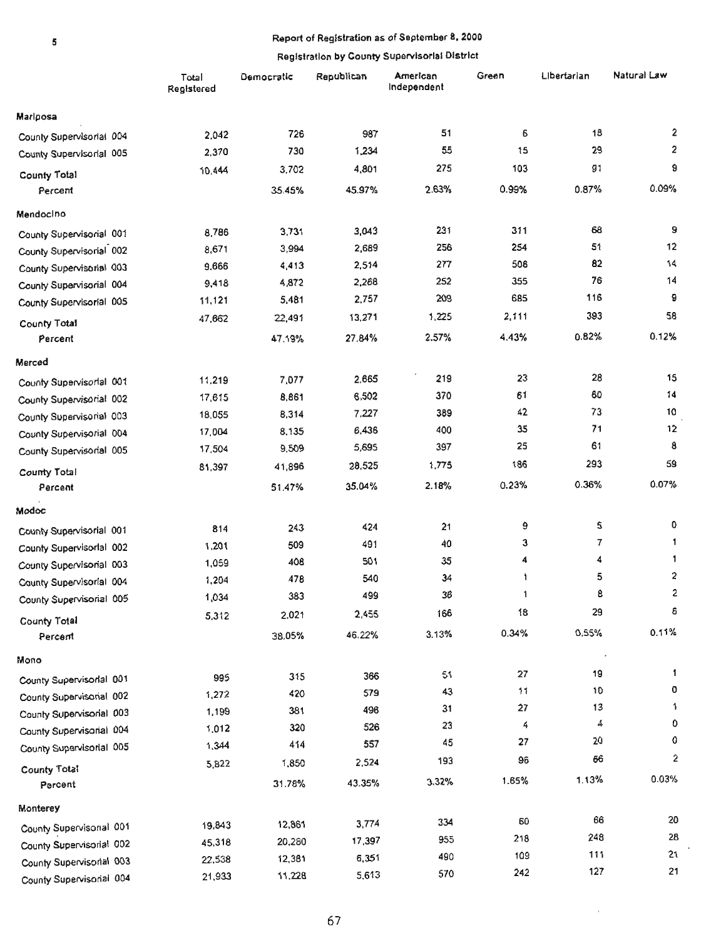# • **Report of Registration as of September 8. 2000**

#### **Registration by County Supervisoriat District**

|                          | Total<br>Registered | Democratic | Republican | American<br>Independent | Green | Libertarian | Natural Law    |
|--------------------------|---------------------|------------|------------|-------------------------|-------|-------------|----------------|
| <b>Mariposa</b>          |                     |            |            |                         |       |             |                |
| County Supervisorial 004 | 2,042               | 726        | 987        | 51                      | 6     | 18          | 2              |
| County Supervisorial 005 | 2,370               | 730        | 1,234      | 55                      | 15    | 29          | 2              |
| County Total             | 10,444              | 3,702      | 4,801      | 275                     | 103   | 91          | 9              |
| Percent                  |                     | 35.45%     | 45.97%     | 2.63%                   | 0.99% | 0.87%       | 0.09%          |
| Mendocino                |                     |            |            |                         |       |             |                |
| County Supervisorial 001 | 8,786               | 3,731      | 3,043      | 231                     | 311   | 68          | 9              |
| County Supervisorial 002 | 8,671               | 3,994      | 2,689      | 256                     | 254   | 51          | 12             |
| County Supervisorial 003 | 9,666               | 4,413      | 2,514      | 277                     | 506   | 82          | 14             |
| County Supervisorial 004 | 9,418               | 4,872      | 2,268      | 252                     | 355   | 76          | 14             |
| County Supervisorial 005 | 11,121              | 5,481      | 2,757      | 209                     | 685   | 116         | 9              |
| County Total             | 47,662              | 22,491     | 13,271     | 1,225                   | 2,111 | 393         | 58             |
| Percent                  |                     | 47.19%     | 27.84%     | 2.57%                   | 4.43% | 0.82%       | 0.12%          |
| Merced                   |                     |            |            |                         |       |             |                |
| County Supervisorial 001 | 11,219              | 7,077      | 2,665      | 219                     | 23    | 28          | 15             |
| County Supervisorial 002 | 17,615              | 8,861      | 6,502      | 370                     | 61    | 60          | 14             |
| County Supervisorial 003 | 18,055              | 8,314      | 7,227      | 389                     | 42    | 73          | 10             |
| County Supervisorial 004 | 17,004              | 8,135      | 6,436      | 400                     | 35    | 71          | 12             |
| County Supervisorial 005 | 17,504              | 9,509      | 5,695      | 397                     | 25    | 61          | 8              |
| County Total             | 81,397              | 41,896     | 28,525     | 1,775                   | 186   | 293         | 59             |
| Percent                  |                     | 51.47%     | 35.04%     | 2.18%                   | 0.23% | 0.36%       | 0.07%          |
| Modoc                    |                     |            |            |                         |       |             |                |
| County Supervisorial 001 | 814                 | 243        | 424        | 21                      | ٥     | 5           | 0              |
| County Supervisorial 002 | 1,201               | 509        | 491        | 40                      | 3     | 7           | 1              |
| County Supervisorial 003 | 1,059               | 408        | 501        | 35                      | 4     | 4           | 1              |
| County Supervisorial 004 | 1,204               | 478        | 540        | 34                      | 1     | 5           | 2              |
| County Supervisorial 005 | 1,034               | 383        | 499        | 36                      | 1.    | 8           | $\overline{2}$ |
|                          | 5,312               | 2,021      | 2,455      | 166                     | 18    | 29          | 6              |
| County Total<br>Percent  |                     | 38.05%     | 46.22%     | 3.13%                   | 0.34% | 0.55%       | 0.11%          |
| Mono                     |                     |            |            |                         |       | $\cdot$     |                |
| County Supervisorial 001 | 995                 | 315        | 366        | 51                      | 27    | 19          | $\mathbf{1}$   |
| County Supervisorial 002 | 1,272               | 420        | 579        | 43                      | 11    | 10          | 0              |
| County Supervisorial 003 | 1,199               | 381        | 496        | 31                      | 27    | 13          | 1              |
| County Supervisorial 004 | 1,012               | 320        | 526        | 23                      | 4     | 4           | 0              |
| County Supervisorial 005 | 1,344               | 414        | 557        | 45                      | 27    | 20          | 0              |
|                          | 5,822               | 1,850      | 2,524      | 193                     | 96    | 66          | 2              |
| County Total<br>Percent  |                     | 31.78%     | 43.35%     | 3.32%                   | 1.65% | 1.13%       | 0.03%          |
| Monterey                 |                     |            |            |                         |       |             |                |
| County Supervisonal 001  | 19,843              | 12,861     | 3,774      | 334                     | 60    | 66          | 20             |
| County Supervisorial 002 | 45,318              | 20,280     | 17,397     | 955                     | 218   | 248         | 28             |
| County SupervisorIal 003 | 22,538              | 12,381     | 6,351      | 490                     | 109   | 111         | 21             |
| County Supervisorial 004 | 21,933              | 11,228     | 5,613      | 570                     | 242   | 127         | 21             |

 $\bar{z}$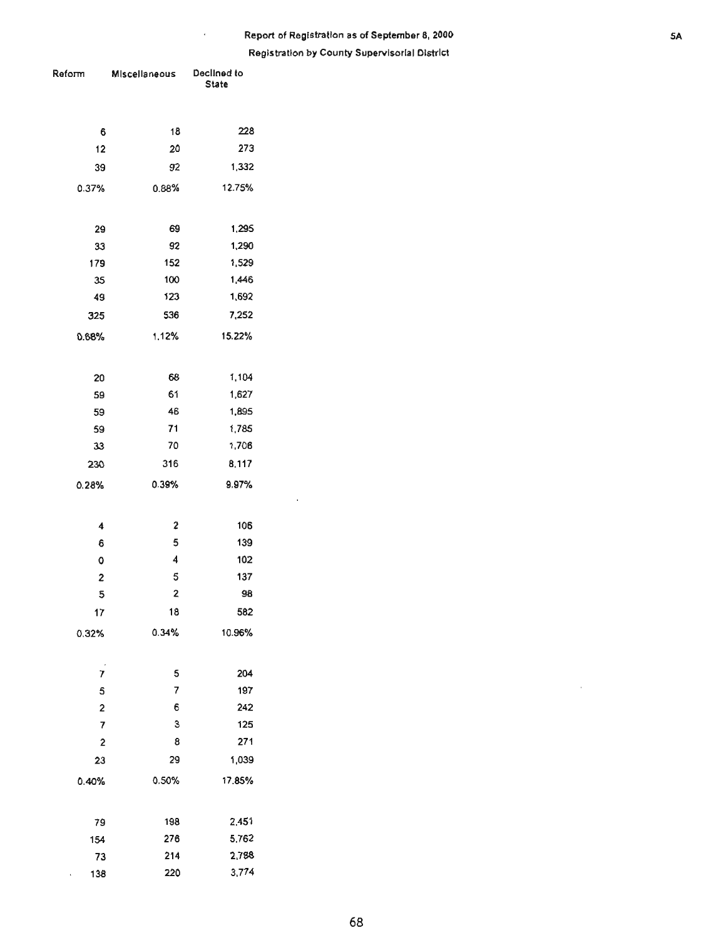# **Report of Registration as of September 8, 2000** 5A **Registration by County Supervisorial District**

 $\epsilon$ 

| Reform                  | Miscellaneous           | Declined to<br><b>State</b> |  |  |
|-------------------------|-------------------------|-----------------------------|--|--|
|                         |                         |                             |  |  |
| 6                       | 18                      | 228                         |  |  |
| 12                      | 20                      | 273                         |  |  |
| 39                      | 92                      | 1,332                       |  |  |
| 0.37%                   | 0.88%                   | 12.75%                      |  |  |
|                         |                         |                             |  |  |
| 29                      | 69                      | 1,295                       |  |  |
| 33                      | 92                      | 1,290                       |  |  |
| 179                     | 152                     | 1,529                       |  |  |
| 35                      | 100                     | 1,446                       |  |  |
| 49                      | 123                     | 1,692                       |  |  |
| 325                     | 536                     | 7,252                       |  |  |
| 0.68%                   | 1,12%                   | 15.22%                      |  |  |
|                         |                         |                             |  |  |
| 20                      | 68                      | 1,104                       |  |  |
| 59                      | 61                      | 1,627                       |  |  |
| 59                      | 46                      | 1,895                       |  |  |
| 59                      | 71                      | 1,785                       |  |  |
| 33                      | 70                      | 1,706                       |  |  |
| 230                     | 316                     | 8,117                       |  |  |
| 0.28%                   | 0.39%                   | 9.97%                       |  |  |
|                         |                         |                             |  |  |
| 4                       | $\overline{\mathbf{c}}$ | 106                         |  |  |
| 6                       | 5                       | 139                         |  |  |
| 0                       | $\overline{\mathbf{4}}$ | 102                         |  |  |
| 2                       | 5                       | 137                         |  |  |
| 5                       | $\overline{\mathbf{c}}$ | 98                          |  |  |
| 17                      | 18                      | 582                         |  |  |
| 0.32%                   | 0.34%                   | 10.96%                      |  |  |
|                         |                         |                             |  |  |
| 7                       | 5                       | 204                         |  |  |
| 5                       | 7                       | 197                         |  |  |
| $\overline{\mathbf{c}}$ | 6                       | 242                         |  |  |
| 7                       | 3                       | 125                         |  |  |
| 2                       | 8                       | 271                         |  |  |
| 23                      | 29                      | 1,039                       |  |  |
| 0.40%                   | 0.50%                   | 17.85%                      |  |  |
|                         |                         |                             |  |  |
| 79                      | 198                     | 2,451                       |  |  |
| 154                     | 276                     | 5,762                       |  |  |
| 73                      | 214                     | 2,788                       |  |  |
| 138<br>ı,               | 220                     | 3,774                       |  |  |

 $\epsilon$  .

 $\sim$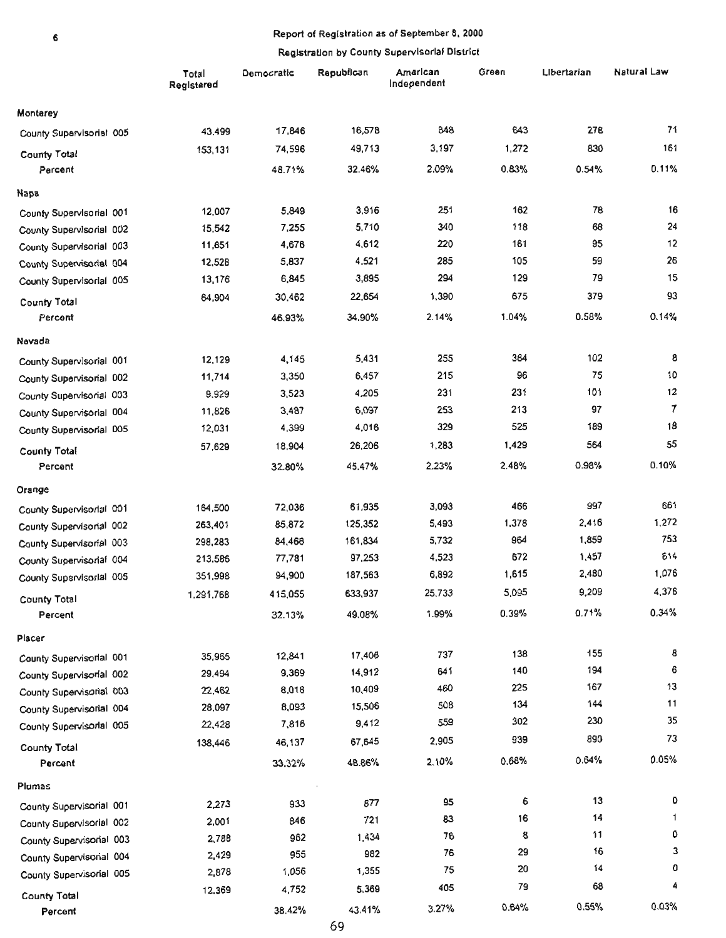#### • Report of Registration as of September 8, 2000

|                          | Total<br>Registered | Democratic | Republican | American<br>Independent | Green | Libertarian | Natural Law |
|--------------------------|---------------------|------------|------------|-------------------------|-------|-------------|-------------|
| Monterey                 |                     |            |            |                         |       |             |             |
| County Supervisorial 005 | 43,499              | 17,846     | 16.578     | 848                     | 643   | 278         | 71          |
| County Total             | 153,131             | 74,596     | 49,713     | 3,197                   | 1,272 | 830         | 161         |
| Percent                  |                     | 48.71%     | 32.46%     | 2.09%                   | 0.83% | 0.54%       | 0.11%       |
| Napa                     |                     |            |            |                         |       |             |             |
| County Supervisorial 001 | 12,007              | 5,849      | 3,916      | 251                     | 162   | 78          | 16          |
| County Supervisorial 002 | 15,542              | 7,255      | 5,710      | 340                     | 118   | 68          | 24          |
| County Supervisorial 003 | 11,651              | 4,676      | 4,612      | 220                     | 161   | 95          | 12          |
| County Supervisorial 004 | 12,528              | 5,837      | 4,521      | 285                     | 105   | 59          | 26          |
| County Supervisorial 005 | 13,176              | 6,845      | 3,895      | 294                     | 129   | 79          | 15          |
| County Total             | 64,904              | 30,462     | 22,654     | 1,390                   | 675   | 379         | 93          |
| Percent                  |                     | 46.93%     | 34.90%     | 2.14%                   | 1.04% | 0.58%       | 0.14%       |
| Nevada                   |                     |            |            |                         |       |             |             |
| County Supervisorial 001 | 12,129              | 4,145      | 5,431      | 255                     | 364   | 102         | 8           |
| County Supervisorial 002 | 11,714              | 3,350      | 6,457      | 215                     | 96    | 75          | 10          |
| County Supervisorial 003 | 9,929               | 3,523      | 4,205      | 231                     | 231   | 101         | 12          |
| County Supervisorial 004 | 11,826              | 3,487      | 6,097      | 253                     | 213   | 97          | 7           |
| County Supervisorial D05 | 12,031              | 4,399      | 4,016      | 329                     | 525   | 189         | 18          |
| <b>County Total</b>      | 57,629              | 18,904     | 26,206     | 1,283                   | 1,429 | 564         | 55          |
| Percent                  |                     | 32.80%     | 45.47%     | 2.23%                   | 2.48% | 0.98%       | 0.10%       |
| Orange                   |                     |            |            |                         |       |             |             |
| County Supervisorial 001 | 164,500             | 72,036     | 61,935     | 3,093                   | 466   | 997         | 661         |
| County Supervisorial 002 | 263,401             | 85,872     | 125,352    | 5,493                   | 1,378 | 2,416       | 1.272       |
| County Supervisorial 003 | 298,283             | 84,466     | 161,834    | 5,732                   | 964   | 1,859       | 753         |
| County Supervisorial 004 | 213.586             | 77,781     | 97,253     | 4,523                   | 672   | 1,457       | 614         |
| County Supervisorial 005 | 351,998             | 94,900     | 187,563    | 6,892                   | 1,615 | 2,480       | 1,076       |
| <b>County Total</b>      | 1,291,768           | 415,055    | 633,937    | 25,733                  | 5,095 | 9,209       | 4,376       |
| Percent                  |                     | 32.13%     | 49.08%     | 1.99%                   | 0.39% | 0.71%       | 0.34%       |
| Placer                   |                     |            |            |                         |       |             |             |
| County Supervisorial 001 | 35,965              | 12,841     | 17,406     | 737                     | 138   | 155         | 8           |
| County Supervisorial 002 | 29,494              | 9,369      | 14,912     | 641                     | 140   | 194         | 6           |
| County Supervisorial 003 | 22,462              | 8,018      | 10,409     | 460                     | 225   | 167         | 13          |
| County Supervisorial 004 | 28,097              | 8,093      | 15,506     | 508                     | 134   | 144         | 11          |
| County Supervisorial 005 | 22,428              | 7,818      | 9,412      | 559                     | 302   | 230         | 35          |
| <b>County Total</b>      | 138,446             | 46,137     | 67,645     | 2,905                   | 939   | 890         | 73          |
| Percent                  |                     | 33.32%     | 48.86%     | 2.10%                   | 0.68% | 0.64%       | 0.05%       |
| Plumas                   |                     |            |            |                         |       |             |             |
| County Supervisorial 001 | 2,273               | 933        | 877        | 95                      | 6     | 13          | 0           |
| County Supervisorial 002 | 2,001               | 846        | 721        | 83                      | 16    | 14          | 1.          |
| County Supervisorial 003 | 2,788               | 962        | 1,434      | 76                      | 8     | 11          | ٥           |
| County Supervisorial 004 | 2,429               | 955        | 982        | 76                      | 29    | 16          | 3           |
| County Supervisorial 005 | 2,878               | 1,056      | 1,355      | 75                      | 20    | 14          | 0           |
| <b>County Total</b>      | 12.369              | 4,752      | 5,369      | 405                     | 79    | 68          | 4           |
| Percent                  |                     | 38.42%     | 43.41%     | 3.27%                   | 0.64% | 0.55%       | 0.03%       |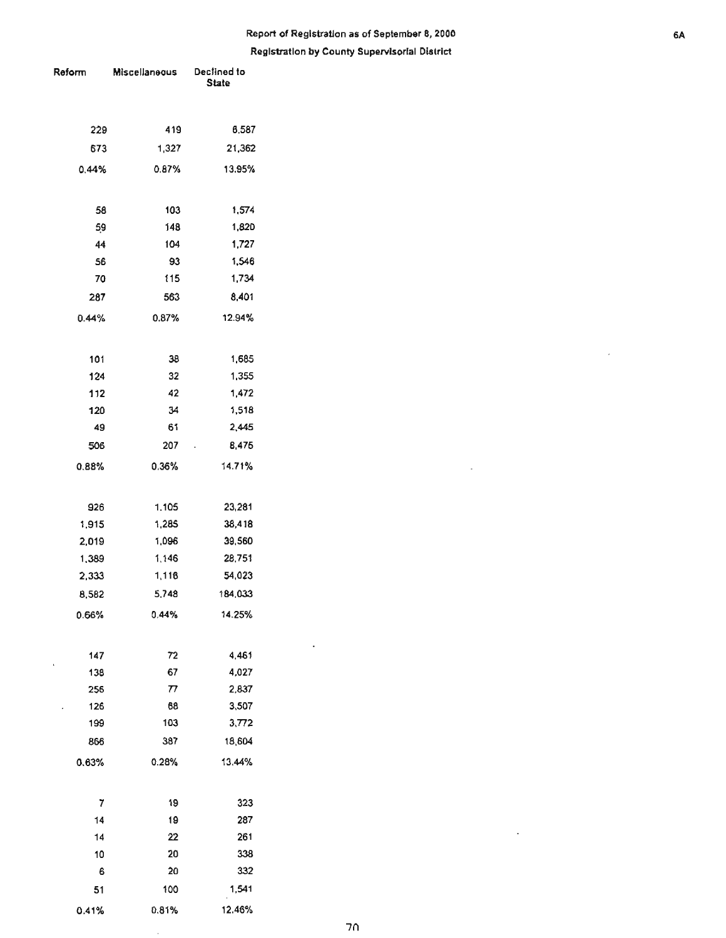| Reform | Miscellaneous              | Declined to<br><b>State</b> |  |  |
|--------|----------------------------|-----------------------------|--|--|
|        |                            |                             |  |  |
|        |                            |                             |  |  |
| 229    | 419                        | 6,587                       |  |  |
| 673    | 1.327                      | 21,362                      |  |  |
| 0.44%  | 0.87%                      | 13.95%                      |  |  |
|        |                            |                             |  |  |
| 58     | 103                        | 1,574                       |  |  |
| 59     | 148                        | 1,820                       |  |  |
| 44     | 104                        | 1,727                       |  |  |
| 56     | 93                         | 1,546                       |  |  |
| 70     | 115                        | 1,734                       |  |  |
| 287    | 563                        | 8,401                       |  |  |
| 0.44%  | 0.87%                      | 12.94%                      |  |  |
|        |                            |                             |  |  |
| 101    | 38                         | 1,685                       |  |  |
| 124    | 32                         | 1,355                       |  |  |
| 112    | 42                         | 1,472                       |  |  |
| 120    | 34                         | 1,518                       |  |  |
| 49     | 61                         | 2,445                       |  |  |
| 506    | 207                        | 8,475<br>í,                 |  |  |
| 0.88%  | 0.36%                      | 14.71%                      |  |  |
|        |                            |                             |  |  |
| 926    | 1.105                      | 23,281                      |  |  |
| 1,915  | 1,285                      | 38,418                      |  |  |
| 2,019  | 1,096                      | 39,560                      |  |  |
| 1,389  | 1,146                      | 28,751                      |  |  |
| 2,333  | 1,116                      | 54,023                      |  |  |
| 8,582  | 5,748                      | 184,033                     |  |  |
| 0.66%  | 0.44%                      | 14.25%                      |  |  |
|        |                            |                             |  |  |
| 147    | 72                         | 4,461                       |  |  |
| 138    | 67                         | 4,027                       |  |  |
| 256    | $\boldsymbol{\mathcal{D}}$ | 2,837                       |  |  |
| 126    | 68                         | 3,507                       |  |  |
| 199    | 103                        | 3,772                       |  |  |
| 866    | 387                        | 18,604                      |  |  |
| 0.63%  | 0.28%                      | 13.44%                      |  |  |
|        |                            |                             |  |  |
| 7      | 19                         | 323                         |  |  |
| 14     | 19                         | 287                         |  |  |
| 14     | 22                         | 261                         |  |  |
| 10     | 20                         | 338                         |  |  |
| 6      | 20                         | 332                         |  |  |
| 51     | 100                        | 1,541                       |  |  |
| 0.41%  | 0.81%                      | 12.46%                      |  |  |

l,

 $\ddot{\phantom{0}}$ 

 $\ddot{\phantom{a}}$ 

 $\ddot{\phantom{a}}$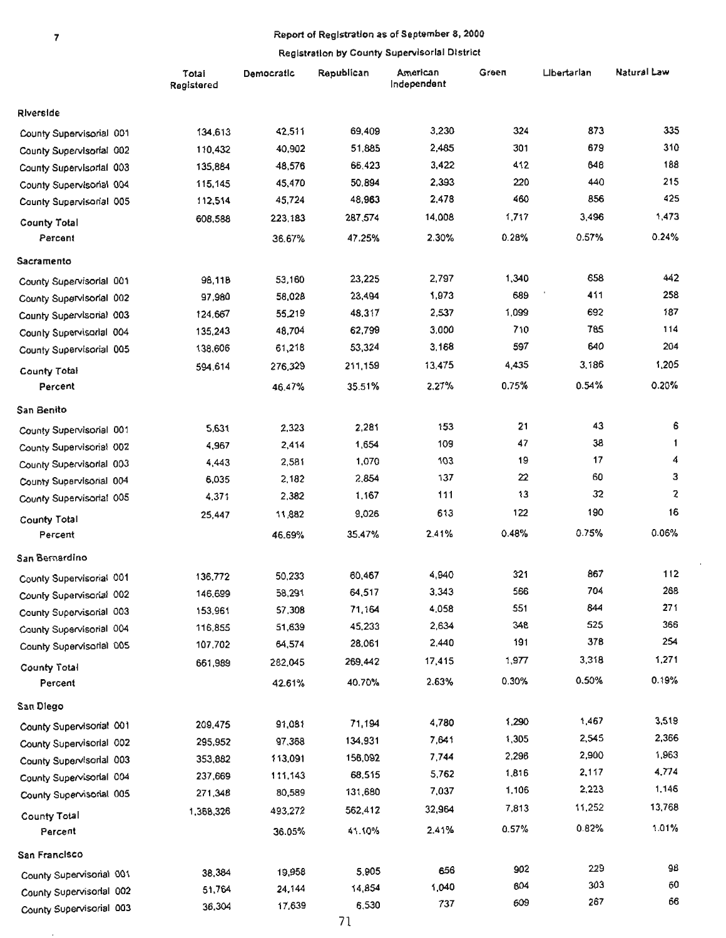$\overline{\phantom{a}}$ 

#### 7 Report of Registration as of September 8, 2000

#### Registration by County Supervisorial District

|                          | Total<br>Registered | Democratic | Republican | American<br>Independent | Green | Libertarian | Natural Law    |
|--------------------------|---------------------|------------|------------|-------------------------|-------|-------------|----------------|
| Riverside                |                     |            |            |                         |       |             |                |
| County Supervisorial 001 | 134,613             | 42,511     | 69,409     | 3,230                   | 324   | 873         | 335            |
| County Supervisorial 002 | 110,432             | 40,902     | 51,885     | 2,485                   | 301   | 679         | 310            |
| County Supervisorial 003 | 135,884             | 48,576     | 66,423     | 3,422                   | 412   | 648         | 188            |
| County Supervisorial 004 | 115,145             | 45,470     | 50,894     | 2,393                   | 220   | 440         | 215            |
| County Supervisorial 005 | 112,514             | 45,724     | 48,963     | 2,478                   | 460   | 856         | 425            |
| <b>County Total</b>      | 608,588             | 223,183    | 287,574    | 14,008                  | 1,717 | 3,496       | 1,473          |
| Percent                  |                     | 36.67%     | 47.25%     | 2.30%                   | 0.28% | 0.57%       | 0.24%          |
| Sacramento               |                     |            |            |                         |       |             |                |
| County Supervisorial 001 | 98,118              | 53,160     | 23,225     | 2,797                   | 1,340 | 658         | 442            |
| County Supervisorial 002 | 97,980              | 58,028     | 23,494     | 1,973                   | 689   | 411         | 258            |
| County Supervisorial 003 | 124,667             | 55,219     | 48,317     | 2,537                   | 1,099 | 692         | 187            |
| County Supervisorial 004 | 135,243             | 48,704     | 62,799     | 3,000                   | 710   | 785         | 114            |
| County Supervisorial 005 | 138.606             | 61,218     | 53,324     | 3,168                   | 597   | 640         | 204            |
| <b>County Total</b>      | 594,614             | 276,329    | 211,159    | 13,475                  | 4,435 | 3.186       | 1,205          |
| Percent                  |                     | 46.47%     | 35.51%     | 2.27%                   | 0.75% | 0.54%       | 0.20%          |
| San Benito               |                     |            |            |                         |       |             |                |
| County Supervisorial 001 | 5.631               | 2,323      | 2,281      | 153                     | 21    | 43          | 6              |
| County Supervisorial 002 | 4,967               | 2,414      | 1,654      | 109                     | 47    | 38          | $\mathbf{1}$   |
| County Supervisorial 003 | 4,443               | 2,581      | 1,070      | 103                     | 19    | 17          | 4              |
| County Supervisorial 004 | 6,035               | 2,182      | 2,854      | 137                     | 22    | 60          | з              |
| County Supervisorial 005 | 4,371               | 2,382      | 1,167      | 111                     | 13    | 32          | $\overline{z}$ |
| County Total             | 25,447              | 11,882     | 9,026      | 613                     | 122   | 190         | 16             |
| Percent                  |                     | 46.69%     | 35.47%     | 2.41%                   | 0.48% | 0.75%       | 0.06%          |
| San Bernardino           |                     |            |            |                         |       |             |                |
| County Supervisorial 001 | 136,772             | 50,233     | 60,467     | 4,940                   | 321   | 867         | 112            |
| County Supervisorial 002 | 146,699             | 58,291     | 64,517     | 3,343                   | 566   | 704         | 268            |
| County Supervisorial 003 | 153,961             | 57,308     | 71,164     | 4,058                   | 551   | 844         | 271            |
| County Supervisorial 004 | 116,855             | 51,639     | 45,233     | 2,634                   | 348   | 525         | 366            |
| County Supervisorial 005 | 107,702             | 64,574     | 28,061     | 2,440                   | 191   | 378         | 254            |
| County Total             | 661,989             | 282,045    | 269,442    | 17,415                  | 1,977 | 3,318       | 1,271          |
| Percent                  |                     | 42.61%     | 40.70%     | 2.63%                   | 0.30% | 0.50%       | 0.19%          |
| San Diego                |                     |            |            |                         |       |             |                |
| County Supervisorial 001 | 209,475             | 91,081     | 71,194     | 4,780                   | 1,290 | 1,467       | 3,519          |
| County Supervisorial 002 | 295,952             | 97,368     | 134,931    | 7,641                   | 1,305 | 2,545       | 2,366          |
| County Supervisorial 003 | 353,882             | 113,091    | 156,092    | 7,744                   | 2,296 | 2,900       | 1,963          |
| County Supervisorial 004 | 237,669             | 111,143    | 68,515     | 5,762                   | 1,816 | 2,117       | 4,774          |
| County Supervisorial 005 | 271,348             | 80,589     | 131,680    | 7,037                   | 1,106 | 2,223       | 1,146          |
| County Total             | 1,368,326           | 493,272    | 562,412    | 32,964                  | 7,813 | 11,252      | 13,768         |
| Percent                  |                     | 36.05%     | 41.10%     | 2.41%                   | 0.57% | 0.82%       | 1.01%          |
| San Francisco            |                     |            |            |                         |       |             |                |
| County Supervisorial 001 | 38,384              | 19,958     | 5,905      | 656                     | 902   | 229         | 98             |
| County Supervisorial 002 | 51,764              | 24,144     | 14,854     | 1,040                   | 604   | 303         | 60             |
| County Supervisorial 003 | 36,304              | 17,639     | 6,530      | 737                     | 609   | 267         | 66             |

 $\bar{1}$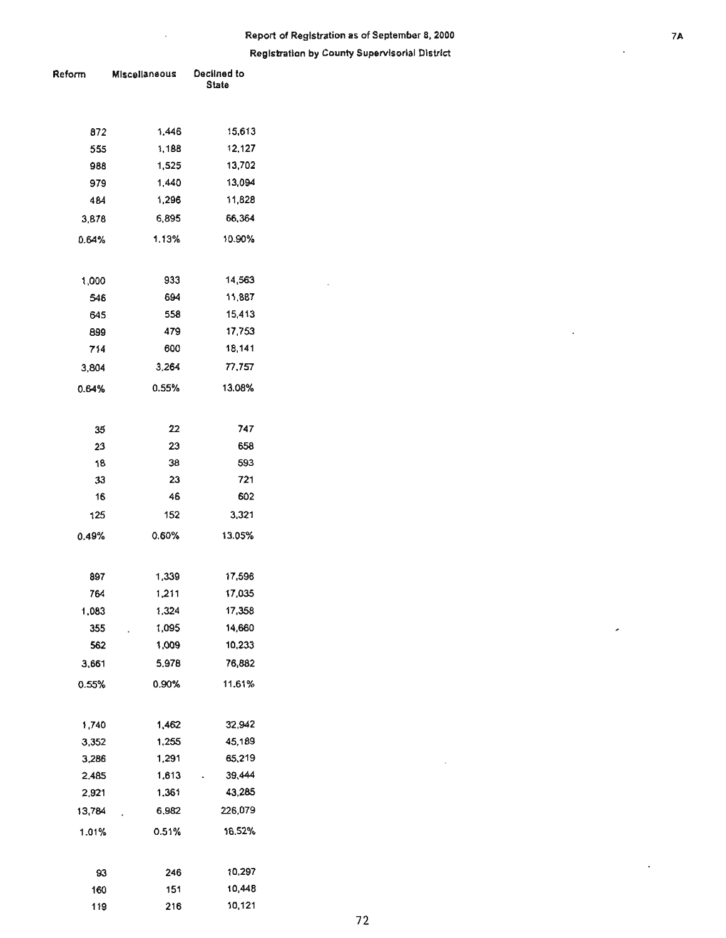# **Report of Registration as of September 8, 2000 1988 1999 12:33 TA Registration by County Supervisorial District**

 $\sim$ 

| Reform | Miscellaneous | Declined to<br><b>State</b> |  |  |
|--------|---------------|-----------------------------|--|--|
|        |               |                             |  |  |
| 872    | 1.446         | 15,613                      |  |  |
| 555    | 1,188         | 12,127                      |  |  |
| 988    | 1,525         | 13,702                      |  |  |
| 979    | 1.440         | 13,094                      |  |  |
| 484    | 1,296         | 11,828                      |  |  |
| 3,878  | 6,895         | 66,364                      |  |  |
| 0.64%  | 1.13%         | 10.90%                      |  |  |
| 1,000  | 933           | 14,563                      |  |  |
| 546    | 694           | 11,887                      |  |  |
| 645    | 558           | 15,413                      |  |  |
| 899    | 479           | 17,753                      |  |  |
| 714    | 600           | 18,141                      |  |  |
| 3,804  | 3,264         | 77,757                      |  |  |
| 0.64%  | 0.55%         | 13.08%                      |  |  |
| 35     | 22            | 747                         |  |  |
| 23     | 23            | 658                         |  |  |
| 18     | 38            | 593                         |  |  |
| 33     | 23            | 721                         |  |  |
| 16     | 46            | 602                         |  |  |
| 125    | 152           | 3,321                       |  |  |
| 0.49%  | 0.60%         | 13.05%                      |  |  |
| 897    | 1,339         | 17,596                      |  |  |
| 764    | 1,211         | 17,035                      |  |  |
| 1,083  | 1,324         | 17,358                      |  |  |
| 355    | 1,095         | 14,660                      |  |  |
| 562    | 1,009         | 10,233                      |  |  |
| 3,661  | 5,978         | 76,882                      |  |  |
| 0.55%  | 0.90%         | 11.61%                      |  |  |
| 1,740  | 1,462         | 32,942                      |  |  |
| 3,352  | 1,255         | 45,189                      |  |  |
| 3,286  | 1,291         | 65,219                      |  |  |
| 2,485  | 1,613         | 39,444                      |  |  |
| 2,921  | 1,361         | 43,285                      |  |  |
| 13,784 | 6,982         | 226,079                     |  |  |
| 1.01%  | 0.51%         | 16.52%                      |  |  |
| 93     | 246           | 10,297                      |  |  |
| 160    | 151           | 10,448                      |  |  |
| 119    | 216           | 10,121                      |  |  |

 $\hat{\boldsymbol{\beta}}$ 

 $\cdot$ 

 $\overline{\phantom{a}}$ 

 $\bar{z}$ 

 $\bar{\beta}$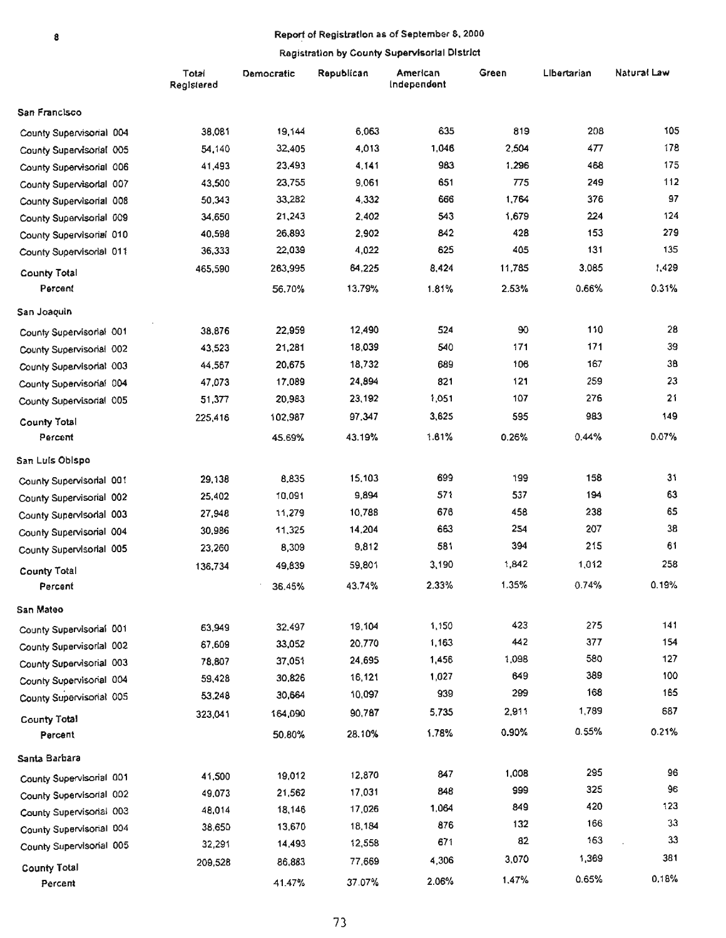# 8 **• Report of Registration as of September 8, 2000**

|                          | Total<br>Registered | Democratic | Republican | American<br>Independent | Green  | Libertarian | Natural Law |
|--------------------------|---------------------|------------|------------|-------------------------|--------|-------------|-------------|
| San Francisco            |                     |            |            |                         |        |             |             |
| County Supervisorial 004 | 38,081              | 19,144     | 6,063      | 635                     | 819    | 208         | 105         |
| County Supervisorial 005 | 54,140              | 32,405     | 4,013      | 1,046                   | 2.504  | 477         | 178         |
| County Supervisorial 006 | 41,493              | 23,493     | 4.141      | 983                     | 1,296  | 468         | 175         |
| County Supervisorial 007 | 43,500              | 23,755     | 9,061      | 651                     | 775    | 249         | 112         |
| County Supervisorial 008 | 50,343              | 33,282     | 4,332      | 666                     | 1,764  | 376         | 97          |
| County Supervisorial 009 | 34,650              | 21,243     | 2,402      | 543                     | 1,679  | 224         | 124         |
| County Supervisorial 010 | 40,598              | 26,893     | 2,902      | 842                     | 428    | 153         | 279         |
| County Supervisorial 011 | 36,333              | 22,039     | 4,022      | 625                     | 405    | 131         | 135         |
| <b>County Total</b>      | 465,590             | 263,995    | 64,225     | 8,424                   | 11,785 | 3,085       | 1,429       |
| Percent                  |                     | 56.70%     | 13.79%     | 1.81%                   | 2.53%  | 0.66%       | 0.31%       |
| San Joaquin              |                     |            |            |                         |        |             |             |
| County Supervisorial 001 | 38,876              | 22,959     | 12,490     | 524                     | 90     | 110         | 28          |
| County Supervisorial 002 | 43,523              | 21,281     | 18,039     | 540                     | 171    | 171         | 39          |
| County Supervisorial 003 | 44,567              | 20,675     | 18,732     | 689                     | 106    | 167         | 38          |
| County Supervisorial 004 | 47,073              | 17,089     | 24,894     | 821                     | 121    | 259         | 23          |
| County Supervisorial 005 | 51,377              | 20,983     | 23,192     | 1,051                   | 107    | 276         | 21          |
| County Total             | 225,416             | 102,987    | 97,347     | 3,625                   | 595    | 983         | 149         |
| Percent                  |                     | 45.69%     | 43.19%     | 1.61%                   | 0.26%  | 0.44%       | 0.07%       |
| San Luis Obispo          |                     |            |            |                         |        |             |             |
| County Supervisorial 001 | 29,138              | 8,835      | 15,103     | 699                     | 199    | 158         | 31          |
| County Supervisorial 002 | 25,402              | 10,091     | 9,894      | 571                     | 537    | 194         | 63          |
| County Supervisorial 003 | 27,948              | 11,279     | 10,788     | 676                     | 458    | 238         | 65          |
| County Supervisorial 004 | 30,986              | 11,325     | 14,204     | 663                     | 254    | 207         | 38          |
| County Supervisorial 005 | 23,260              | 8,309      | 9,812      | 581                     | 394    | 215         | 61          |
| <b>County Total</b>      | 136,734             | 49,839     | 59,801     | 3,190                   | 1,842  | 1,012       | 258         |
| Percent                  |                     | 36.45%     | 43.74%     | 2.33%                   | 1.35%  | 0.74%       | 0.19%       |
| San Mateo                |                     |            |            |                         |        |             |             |
| County Supervisorial 001 | 63,949              | 32,497     | 19,104     | 1,150                   | 423    | 275         | 141         |
| County Supervisorial 002 | 67,609              | 33,052     | 20,770     | 1,163                   | 442    | 377         | 154         |
| County Supervisorial 003 | 78,807              | 37,051     | 24,695     | 1,456                   | 1,098  | 580         | 127         |
| County Supervisorial 004 | 59,428              | 30,826     | 16,121     | 1,027                   | 649    | 389         | 100         |
| County Supervisorial 005 | 53,248              | 30,664     | 10,097     | 939                     | 299    | 168         | 165         |
| <b>County Total</b>      | 323,041             | 164,090    | 90,787     | 5,735                   | 2,911  | 1,789       | 687         |
| Percent                  |                     | 50.80%     | 28.10%     | 1.78%                   | 0.90%  | 0.55%       | 0.21%       |
| Santa Barbara            |                     |            |            |                         |        |             |             |
| County Supervisorial 001 | 41,500              | 19,012     | 12,870     | 847                     | 1,008  | 295         | 96          |
| County Supervisorial 002 | 49,073              | 21,562     | 17,031     | 848                     | 999    | 325         | 96          |
| County Supervisorial 003 | 48,014              | 18,146     | 17,026     | 1.064                   | 849    | 420         | 123         |
| County Supervisorial 004 | 38,650              | 13,670     | 18,184     | 876                     | 132    | 166         | 33          |
| County Supervisorial 005 | 32,291              | 14,493     | 12,558     | 671                     | 82     | 163         | 33          |
| <b>County Total</b>      | 209,528             | 86,883     | 77,669     | 4,306                   | 3,070  | 1,369       | 381         |
| Percent                  |                     | 41.47%     | 37.07%     | 2.06%                   | 1,47%  | 0.65%       | 0,18%       |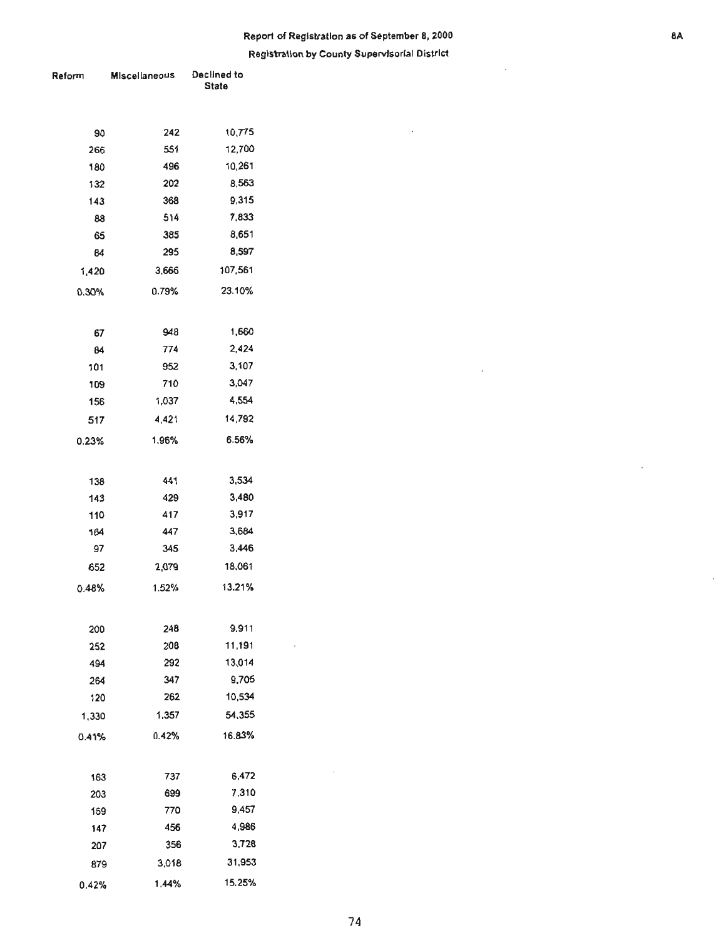### **Report of Registration 85 of September 8, 2000** •• **Registration by County Supervisorial District**

l.

 $\bar{\alpha}$ 

 $\mathcal{L}$ 

| Reform    | <b>Miscellaneous</b> | Declined to<br><b>State</b> |  |  |
|-----------|----------------------|-----------------------------|--|--|
|           |                      |                             |  |  |
|           |                      |                             |  |  |
| 90        | 242                  | 10,775                      |  |  |
| 266       | 551                  | 12,700                      |  |  |
| 180       | 496                  | 10,261                      |  |  |
| 132       | 202                  | 8,563                       |  |  |
| 143       | 368                  | 9,315                       |  |  |
| 88        | 514                  | 7,833                       |  |  |
| 65        | 385                  | 8,651                       |  |  |
| 84        | 295                  | 8,597                       |  |  |
| 1,420     | 3,666                | 107,561                     |  |  |
| 0.30%     | 0.79%                | 23.10%                      |  |  |
|           |                      |                             |  |  |
| 67        | 948                  | 1,660                       |  |  |
| 84        | 774                  | 2,424                       |  |  |
| 101       | 952                  | 3,107                       |  |  |
| 109       | 710                  | 3,047                       |  |  |
| 156       | 1,037                | 4,554                       |  |  |
| 517       | 4,421                | 14,792                      |  |  |
| 0.23%     | 1.96%                | 6.56%                       |  |  |
|           |                      |                             |  |  |
|           |                      |                             |  |  |
| 138       | 441                  | 3,534                       |  |  |
| 143       | 429                  | 3,480                       |  |  |
| 110       | 417<br>447           | 3,917<br>3,684              |  |  |
| 164<br>97 | 345                  | 3,446                       |  |  |
|           | 2,079                | 18,061                      |  |  |
| 652       |                      |                             |  |  |
| 0.48%     | 1.52%                | 13.21%                      |  |  |
|           |                      |                             |  |  |
| 200       | 248                  | 9,911                       |  |  |
| 252       | 208                  | 11,191                      |  |  |
| 494       | 292                  | 13,014                      |  |  |
| 264       | 347                  | 9,705                       |  |  |
| 120       | 262                  | 10,534                      |  |  |
| 1,330     | 1,357                | 54,355                      |  |  |
| 0.41%     | 0.42%                | 16.83%                      |  |  |
|           |                      |                             |  |  |
| 163       | 737                  | 6,472                       |  |  |
| 203       | 699                  | 7,310                       |  |  |
| 159       | 770                  | 9,457                       |  |  |
| 147       | 456                  | 4,986                       |  |  |
| 207       | 356                  | 3,728                       |  |  |
| 879       | 3,018                | 31,953                      |  |  |
| 0.42%     | 1.44%                | 15.25%                      |  |  |

 $\ddot{\phantom{0}}$ 

÷.

 $\sim$ 

 $\mathcal{A}$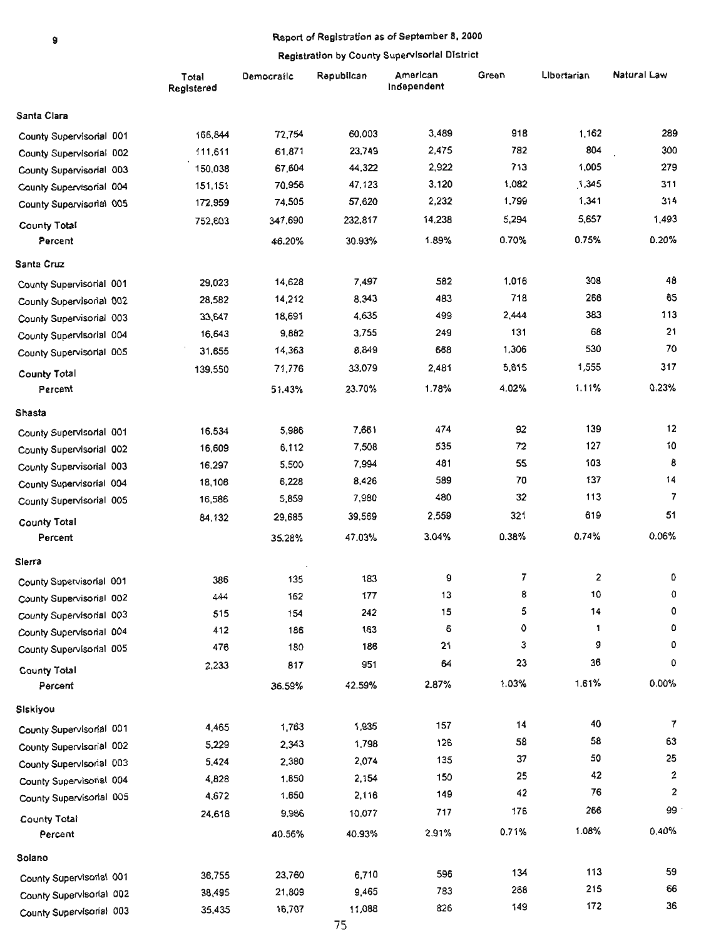# • Report of Registration as of September 8. 2000

|                          | Total<br>Registered | Democratic | Republican | American<br>Independent | Green   | Libertarian | Natural Law |
|--------------------------|---------------------|------------|------------|-------------------------|---------|-------------|-------------|
| Santa Clara              |                     |            |            |                         |         |             |             |
| County Supervisorial 001 | 166,844             | 72,754     | 60,003     | 3,489                   | 918     | 1.162       | 289         |
| County Supervisorial 002 | 111,611             | 61,871     | 23,749     | 2,475                   | 782     | 804         | 300         |
| County Supervisorial 003 | 150,038             | 67,604     | 44,322     | 2,922                   | 713     | 1,005       | 279         |
| County Supervisorial 004 | 151,151             | 70,956     | 47,123     | 3,120                   | 1,082   | 1,345       | 311         |
| County Supervisorial 005 | 172,959             | 74,505     | 57,620     | 2,232                   | 1,799   | 1,341       | 314         |
| County Total             | 752,603             | 347,690    | 232,817    | 14,238                  | 5,294   | 5,657       | 1,493       |
| Percent                  |                     | 46.20%     | 30.93%     | 1.89%                   | 0.70%   | 0.75%       | 0.20%       |
| Santa Cruz               |                     |            |            |                         |         |             |             |
| County Supervisorial 001 | 29,023              | 14,628     | 7,497      | 582                     | 1,016   | 308         | 48          |
| County Supervisorial 002 | 28,582              | 14,212     | 8,343      | 483                     | 718     | 266         | 65          |
| County Supervisorial 003 | 33,647              | 18,691     | 4,635      | 499                     | 2,444   | 383         | 113         |
| County Supervisorial 004 | 16,643              | 9,882      | 3,755      | 249                     | 131     | 68          | 21          |
| County Supervisorial 005 | 31,655              | 14,363     | 8,849      | 668                     | 1,306   | 530         | 70          |
| County Total             | 139,550             | 71,776     | 33,079     | 2,481                   | 5,615   | 1,555       | 317         |
| Percent                  |                     | 51.43%     | 23.70%     | 1.78%                   | 4.02%   | 1.11%       | 0.23%       |
| Shasta                   |                     |            |            |                         |         |             |             |
| County Supervisorial 001 | 16,534              | 5,986      | 7,661      | 474                     | 92      | 139         | 12          |
| County Supervisorial 002 | 16,609              | 6,112      | 7,508      | 535                     | 72      | 127         | 10          |
| County Supervisorial 003 | 16,297              | 5,500      | 7,994      | 481                     | 55      | 103         | 8           |
| County Supervisorial 004 | 18,106              | 6,228      | 8,426      | 589                     | 70      | 137         | 14          |
| County Supervisorial 005 | 16,586              | 5,859      | 7,980      | 480                     | 32      | 113         | 7           |
| <b>County Total</b>      | 84,132              | 29,685     | 39,569     | 2,559                   | 321     | 619         | 51          |
| Percent                  |                     | 35.28%     | 47.03%     | 3.04%                   | 0.38%   | 0.74%       | 0.06%       |
| Slerra                   |                     |            |            |                         |         |             |             |
| County Supervisorial 001 | 386                 | 135        | 183        | 9                       | 7       | 2           | 0           |
| County Supervisorial 002 | 444                 | 162        | 177        | 13                      | 8       | 10          | $^{\circ}$  |
| County Supervisorial 003 | 515                 | 154        | 242        | 15                      | 5       | 14          | 0           |
| County Supervisorial 004 | 412                 | 186        | 163        | 6                       | $\circ$ | 1           | ٥           |
| County Supervisorial 005 | 476                 | 180        | 186        | 21                      | 3       | 9           | 0           |
| County Total             | 2,233               | 817        | 951        | 64                      | 23      | 36          | 0           |
| Percent                  |                     | 36.59%     | 42.59%     | 2.87%                   | 1.03%   | 1.61%       | 0.00%       |
| Siskíyou                 |                     |            |            |                         |         |             |             |
| County Supervisorial 001 | 4,465               | 1,763      | 1,935      | 157                     | 14      | 40          | 7           |
| County Supervisorial 002 | 5,229               | 2,343      | 1,798      | 126                     | 58      | 58          | 63          |
| County Supervisorial 003 | 5,424               | 2,380      | 2,074      | 135                     | 37      | 50          | 25          |
| County Supervisorial 004 | 4,828               | 1,850      | 2,154      | 150                     | 25      | 42          | 2           |
| County Supervisorial 005 | 4,672               | 1,650      | 2,116      | 149                     | 42      | 76          | 2           |
| County Total             | 24,618              | 9,986      | 10,077     | 717                     | 176     | 266         | 99          |
| Percent                  |                     | 40.56%     | 40.93%     | 2.91%                   | 0.71%   | 1.08%       | 0.40%       |
| Solano                   |                     |            |            |                         |         |             |             |
| County Supervisorial 001 | 36,755              | 23,760     | 6,710      | 596                     | 134     | 113         | 59          |
| County Supervisorial 002 | 38,495              | 21,809     | 9,465      | 783                     | 268     | 215         | 66          |
| County Supervisorial 003 | 35,435              | 16,707     | 11,088     | 826                     | 149     | 172         | 36          |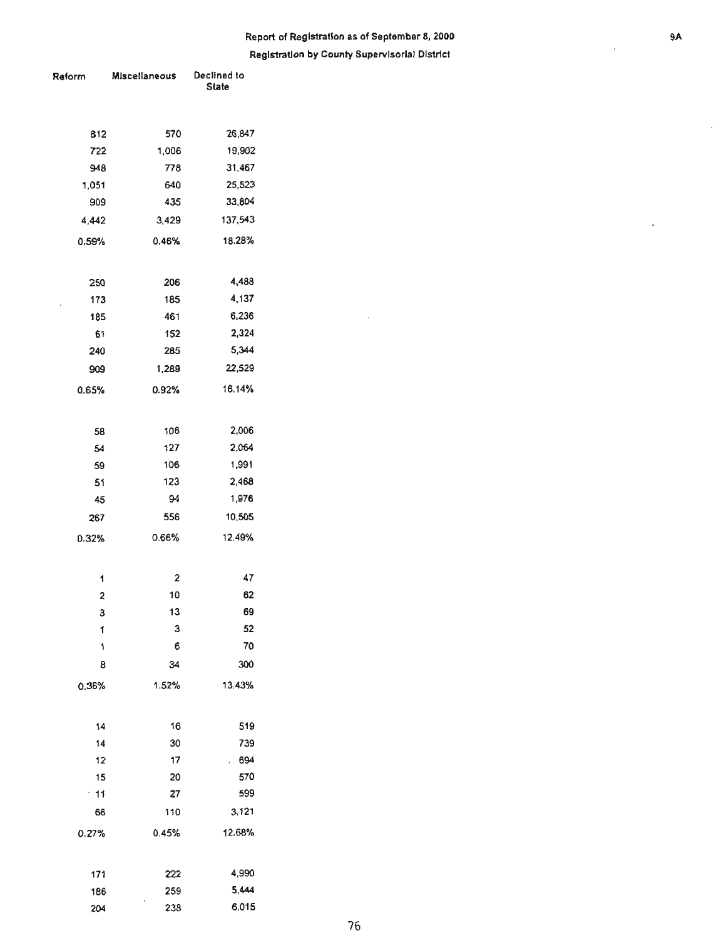# Report of Registration as of September 8, 2000 **and September 8, 2000 1988**

**RegIstration by County Supervisorial District** 

 $\bar{z}$ 

| Reform                  | <b>Miscellaneous</b> | Declined to<br><b>State</b> |  |  |
|-------------------------|----------------------|-----------------------------|--|--|
| 812                     | 570                  | 26,847                      |  |  |
| 722                     | 1,006                | 19,902                      |  |  |
| 948                     | 778                  | 31,467                      |  |  |
| 1,051                   | 640                  | 25,523                      |  |  |
| 909                     | 435                  | 33,804                      |  |  |
| 4,442                   | 3,429                | 137,543                     |  |  |
| 0.59%                   | 0.46%                | 18.28%                      |  |  |
| 250                     | 206                  | 4,488                       |  |  |
| 173                     | 185                  | 4,137                       |  |  |
| 185                     | 461                  | 6,236                       |  |  |
| 61                      | 152                  | 2,324                       |  |  |
| 240                     | 285                  | 5,344                       |  |  |
| 909                     | 1,289                | 22,529                      |  |  |
| 0.65%                   | 0.92%                | 16.14%                      |  |  |
| 58                      | 106                  | 2,006                       |  |  |
| 54                      | 127                  | 2,064                       |  |  |
| 59                      | 106                  | 1,991                       |  |  |
| 51                      | 123                  | 2,468                       |  |  |
| 45                      | 94                   | 1,976                       |  |  |
| 267                     | 556                  | 10,505                      |  |  |
| 0.32%                   | 0.66%                | 12.49%                      |  |  |
| 1                       | $\mathbf{c}$         | 47                          |  |  |
| $\overline{\mathbf{c}}$ | 10                   | 62                          |  |  |
| з                       | 13                   | 69                          |  |  |
| 1                       | 3                    | 52                          |  |  |
| 1                       | 6                    | 70                          |  |  |
| 8                       | 34                   | 300                         |  |  |
| 0.36%                   | 1.52%                | 13.43%                      |  |  |
| 14                      | 16                   | 519                         |  |  |
| 14                      | 30                   | 739                         |  |  |
| 12                      | 17                   | 694<br>ž.                   |  |  |
| 15                      | 20                   | 570                         |  |  |
| $\cdot$ 11              | 27                   | 599                         |  |  |
| 66                      | 110                  | 3,121                       |  |  |
| 0.27%                   | 0.45%                | 12.68%                      |  |  |
| 171                     | 222                  | 4,990                       |  |  |
| 186                     | 259                  | 5,444                       |  |  |
| 204                     | 238                  | 6,015                       |  |  |

ä,

ä,

ł,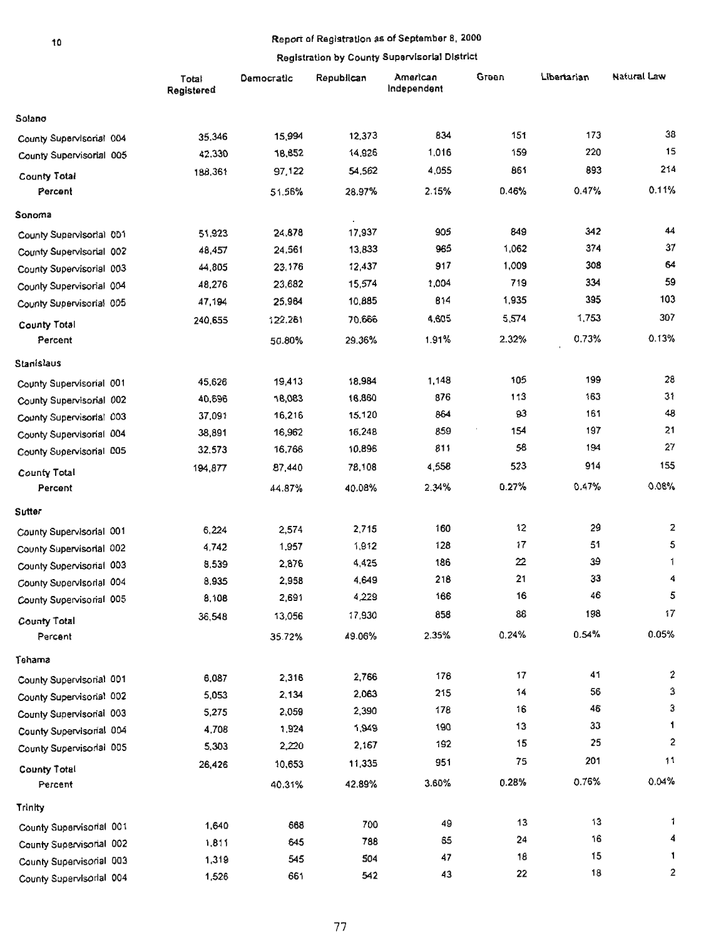# 10 **Report of Registration as of September S, 2000**

|                          | registration by Gounty Gaper vice. An |            |            |                         |       |             |                |
|--------------------------|---------------------------------------|------------|------------|-------------------------|-------|-------------|----------------|
|                          | Total<br>Registered                   | Democratic | Republican | American<br>Independent | Green | Libertarian | Natural Law    |
| Solano                   |                                       |            |            |                         |       |             |                |
| County Supervisorial 004 | 35,346                                | 15,994     | 12,373     | 834                     | 151   | 173         | 38             |
| County Supervisorial 005 | 42,330                                | 18,852     | 14,926     | 1,016                   | 159   | 220         | 15             |
| <b>County Total</b>      | 188,361                               | 97,122     | 54,562     | 4,055                   | 861   | 893         | 214            |
| Percent                  |                                       | 51.56%     | 28.97%     | 2.15%                   | 0.46% | 0.47%       | 0.11%          |
| Sonoma                   |                                       |            | $\cdot$    |                         |       |             |                |
| County Supervisorial 001 | 51,923                                | 24,878     | 17,937     | 905                     | 849   | 342         | 44             |
| County Supervisorial 002 | 48,457                                | 24,561     | 13,833     | 965                     | 1,062 | 374         | 37             |
| County Supervisorial 003 | 44,805                                | 23,176     | 12,437     | 917                     | 1,009 | 308         | 64             |
| County Supervisorial 004 | 48,276                                | 23,682     | 15,574     | 1,004                   | 719   | 334         | 59             |
| County Supervisorial 005 | 47,194                                | 25,964     | 10,885     | 814                     | 1,935 | 395         | 103            |
| County Total             | 240,655                               | 122,261    | 70.666     | 4.605                   | 5,574 | 1,753       | 307            |
| Percent                  |                                       | 50.80%     | 29.36%     | 1.91%                   | 2.32% | 0.73%       | 0.13%          |
| Stanislaus               |                                       |            |            |                         |       |             |                |
| County Supervisorial 001 | 45,626                                | 19,413     | 18,984     | 1,148                   | 105   | 199         | 28             |
| County Supervisorial 002 | 40,696                                | 18,083     | 16,860     | 876                     | 113   | 163         | 31             |
| County Supervisorial 003 | 37,091                                | 16,216     | 15,120     | 864                     | 93    | 161         | 48             |
| County Supervisorial 004 | 38,891                                | 16,962     | 16,248     | 859                     | 154   | 197         | 21             |
| County Supervisorial 005 | 32,573                                | 16,766     | 10,896     | 811                     | 58    | 194         | 27             |
| <b>County Total</b>      | 194,877                               | 87,440     | 78,108     | 4,558                   | 523   | 914         | 155            |
| Percent                  |                                       | 44.87%     | 40.08%     | 2.34%                   | 0.27% | 0.47%       | 0.08%          |
| <b>Sutter</b>            |                                       |            |            |                         |       |             |                |
| County Supervisorial 001 | 6,224                                 | 2,574      | 2,715      | 160                     | 12    | 29          | $\overline{2}$ |
| County Supervisorial 002 | 4,742                                 | 1,957      | 1,912      | 128                     | 17    | 51          | 5              |
| County Supervisorial 003 | 8,539                                 | 2,876      | 4,425      | 186                     | 22    | 39          | 1              |
| County Supervisorial 004 | 8,935                                 | 2,958      | 4,649      | 218                     | 21    | 33          | 4              |
| County Supervisorial 005 | 8,108                                 | 2,691      | 4,229      | 166                     | 16    | 46          | 5              |
| <b>County Total</b>      | 36,548                                | 13,056     | 17,930     | 858                     | 88    | 198         | 17             |
| Percent                  |                                       | 35.72%     | 49.06%     | 2.35%                   | 0.24% | 0.54%       | 0.05%          |
| Tehama                   |                                       |            |            |                         |       |             |                |
| County Supervisorial 001 | 6,087                                 | 2,316      | 2,766      | 176                     | 17    | 41          | 2              |
| County Supervisorial 002 | 5,053                                 | 2,134      | 2,063      | 215                     | 14    | 56          | 3              |
| County Supervisorial 003 | 5,275                                 | 2,059      | 2,390      | 178                     | 16    | 46          | 3              |
| County Supervisorial 004 | 4,708                                 | 1,924      | 1,949      | 190                     | 13    | 33          | 1.             |
| County Supervisorial 005 | 5,303                                 | 2,220      | 2,167      | 192                     | 15    | 25          | 2              |
| <b>County Total</b>      | 26,426                                | 10,653     | 11,335     | 951                     | 75    | 201         | 11             |
| Percent                  |                                       | 40.31%     | 42.89%     | 3.60%                   | 0.28% | 0.76%       | 0.04%          |
| Trinity                  |                                       |            |            |                         |       |             |                |
| County Supervisorial 001 | 1,640                                 | 668        | 700        | 49                      | 13    | 13          | 1.             |
| County Supervisorial 002 | 1,811                                 | 645        | 788        | 65                      | 24    | 16          | 4              |
| County Supervisorial 003 | 1,319                                 | 545        | 504        | 47                      | 18    | 15          | 1              |
| County Supervisorial 004 | 1,526                                 | 661        | 542        | 43                      | 22    | 18          | 2              |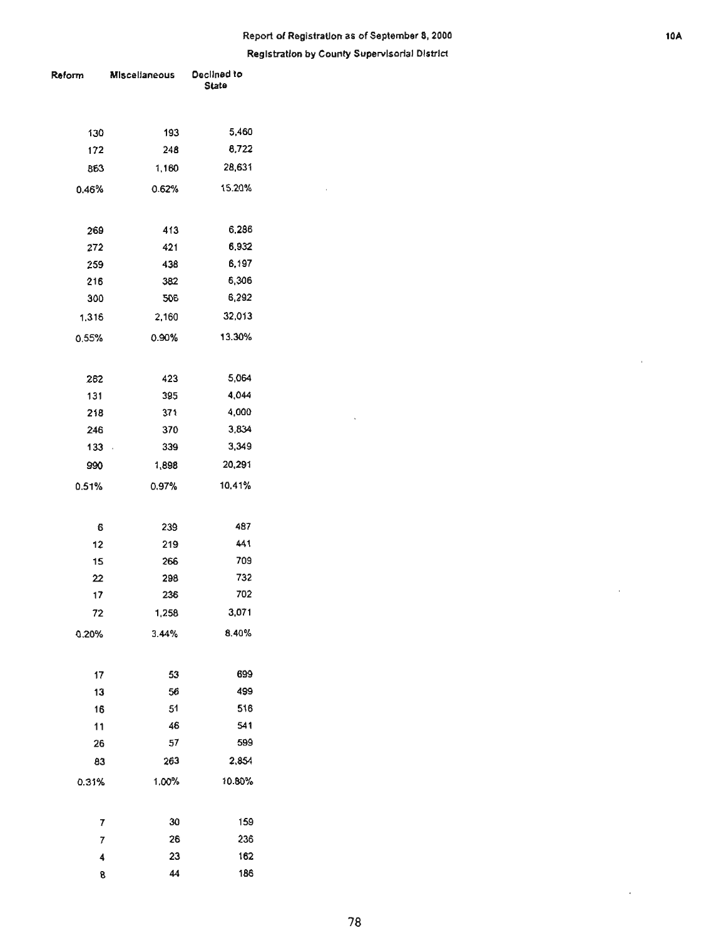# **Report of Registration as of September 8, 2000** 10.

#### **Registration by County Supervisorial District**

 $\hat{\mathcal{A}}$ 

 $\ddot{\phantom{a}}$ 

| Reform | Miscellaneous  | Declined to<br>State |  |  |
|--------|----------------|----------------------|--|--|
| 130    | 193            | 5,460                |  |  |
| 172    | 248            | 8,722                |  |  |
| 863    | 1,160          | 28,631               |  |  |
| 0.46%  | 0.62%          | 15.20%               |  |  |
| 269    | 413            | 6,286                |  |  |
| 272    | 421            | 6,932                |  |  |
| 259    | 438            | 6,197                |  |  |
| 216    | 382            | 6,306                |  |  |
| 300    | 506            | 6,292                |  |  |
| 1,316  | 2,160          | 32,013               |  |  |
| 0.55%  | 0.90%          | 13.30%               |  |  |
| 262    | 423            | 5,064                |  |  |
| 131    | 395            | 4,044                |  |  |
| 218    | 371            | 4,000                |  |  |
| 246    | 370            | 3,834                |  |  |
| 133    | 339<br>$\cdot$ | 3,349                |  |  |
| 990    | 1,898          | 20,291               |  |  |
| 0.51%  | 0.97%          | 10,41%               |  |  |
| 6      | 239            | 487                  |  |  |
| 12     | 219            | 441                  |  |  |
| 15     | 266            | 709                  |  |  |
| 22     | 298            | 732                  |  |  |
| 17     | 236            | 702                  |  |  |
| 72     | 1,258          | 3,071                |  |  |
| 0.20%  | 3.44%          | 8.40%                |  |  |
| 17     | 53             | 699                  |  |  |
| 13     | 56             | 499                  |  |  |
| 16     | 51             | 516                  |  |  |
| 11     | 46             | 541                  |  |  |
| 26     | 57             | 599                  |  |  |
| 83     | 263            | 2,854                |  |  |
| 0.31%  | 1.00%          | 10.80%               |  |  |
| 7      | 30             | 159                  |  |  |
| 7      | 26             | 236                  |  |  |
| 4      | 23             | 162                  |  |  |
| 8      | 44             | 186                  |  |  |

 $\mathbf{r}$ 

 $\bar{z}$ 

 $\bar{\epsilon}$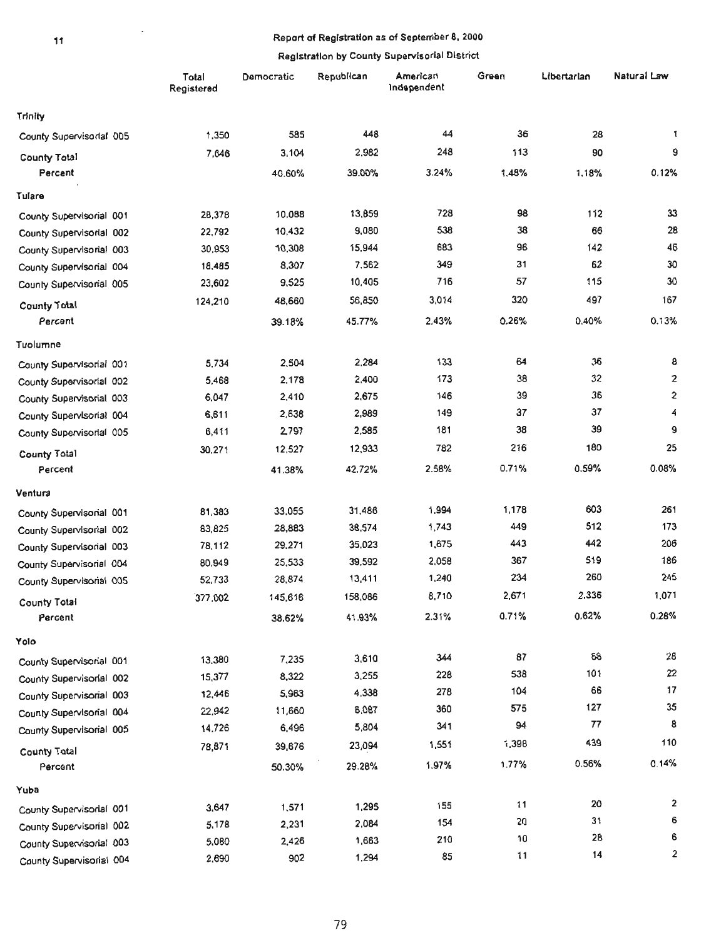# 11 **1 Report of Registration as of September 8, 2000**

|                          | Total<br>Registered | Democratic | Republican | American<br>Independent | Green | Libertarian | Natural Law             |
|--------------------------|---------------------|------------|------------|-------------------------|-------|-------------|-------------------------|
| <b>Trinity</b>           |                     |            |            |                         |       |             |                         |
| County Supervisorial 005 | 1,350               | 585        | 448        | 44                      | 36    | 28          | 1                       |
| County Total             | 7,646               | 3,104      | 2,982      | 248                     | 113   | 90          | 9                       |
| Percent                  |                     | 40.60%     | 39.00%     | 3.24%                   | 1.48% | 1.18%       | 0.12%                   |
| Tulare                   |                     |            |            |                         |       |             |                         |
| County Supervisorial 001 | 28,378              | 10.088     | 13,859     | 728                     | 98    | 112         | 33                      |
| County Supervisorial 002 | 22,792              | 10,432     | 9,080      | 538                     | 38    | 66          | 28                      |
| County Supervisorial 003 | 30,953              | 10,308     | 15,944     | 683                     | 96    | 142         | 46                      |
| County Supervisorial 004 | 18,485              | 8,307      | 7,562      | 349                     | 31    | 62          | 30                      |
| County Supervisorial 005 | 23,602              | 9,525      | 10,405     | 716                     | 57    | 115         | 30                      |
| <b>County Total</b>      | 124,210             | 48,660     | 56,850     | 3,014                   | 320   | 497         | 167                     |
| Percent                  |                     | 39.18%     | 45.77%     | 2.43%                   | 0.26% | 0.40%       | 0.13%                   |
| Tuolumne                 |                     |            |            |                         |       |             |                         |
| County Supervisorial 001 | 5,734               | 2,504      | 2,284      | 133                     | 64    | 36          | 8                       |
| County Supervisorial 002 | 5,468               | 2,178      | 2,400      | 173                     | 38    | 32          | $\overline{2}$          |
| County Supervisorial 003 | 6,047               | 2,410      | 2,675      | 146                     | 39    | 36          | 2                       |
| County Supervisorial 004 | 6,611               | 2,638      | 2,989      | 149                     | 37    | 37          | 4                       |
| County Supervisorial 005 | 6,411               | 2,797      | 2,585      | 181                     | 38    | 39          | 9                       |
| County Total             | 30,271              | 12,527     | 12,933     | 782                     | 216   | 180         | 25                      |
| Percent                  |                     | 41.38%     | 42.72%     | 2.58%                   | 0.71% | 0.59%       | 0.08%                   |
| Ventura                  |                     |            |            |                         |       |             |                         |
| County Supervisorial 001 | 81,383              | 33,055     | 31,486     | 1.994                   | 1,178 | 603         | 261                     |
| County Supervisorial 002 | 83,825              | 28,883     | 38,574     | 1,743                   | 449   | 512         | 173                     |
| County Supervisorial 003 | 78.112              | 29,271     | 35,023     | 1,675                   | 443   | 442         | 206                     |
| County Supervisorial 004 | 80.949              | 25,533     | 39,592     | 2,058                   | 367   | 519         | 186                     |
| County Supervisorial 005 | 52,733              | 28,874     | 13,411     | 1,240                   | 234   | 260         | 245                     |
| <b>County Total</b>      | 377,002             | 145,616    | 158,086    | 8,710                   | 2,671 | 2,336       | 1,071                   |
| Percent                  |                     | 38.62%     | 41.93%     | 2.31%                   | 0.71% | 0.62%       | 0.28%                   |
| Yolo                     |                     |            |            |                         |       |             |                         |
| County Supervisorial 001 | 13,380              | 7,235      | 3,610      | 344                     | 87    | 68          | 28                      |
| County Supervisorial 002 | 15,377              | 8,322      | 3,255      | 228                     | 538   | 101         | 22                      |
| County Supervisorial 003 | 12,446              | 5,963      | 4,338      | 278                     | 104   | 66          | 17                      |
| County Supervisorial 004 | 22,942              | 11,660     | 6,087      | 360                     | 575   | 127         | 35                      |
| County Supervisorial 005 | 14,726              | 6,496      | 5,804      | 341                     | 94    | 77          | 8                       |
| <b>County Total</b>      | 78,871              | 39,676     | 23,094     | 1,551                   | 1,398 | 439         | 110                     |
| Percent                  |                     | 50.30%     | 29.28%     | 1.97%                   | 1.77% | 0.56%       | 0.14%                   |
| Yuba                     |                     |            |            |                         |       |             |                         |
| County Supervisorial 001 | 3,647               | 1,571      | 1,295      | 155                     | 11    | 20          | $\overline{\mathbf{2}}$ |
| County Supervisorial 002 | 5,178               | 2,231      | 2,084      | 154                     | 20    | 31          | 6                       |
| County Supervisorial 003 | 5,080               | 2,426      | 1,663      | 210                     | 10    | 28          | 6                       |
| County Supervisorial 004 | 2,690               | 902        | 1,294      | 85                      | 11    | 14          | 2                       |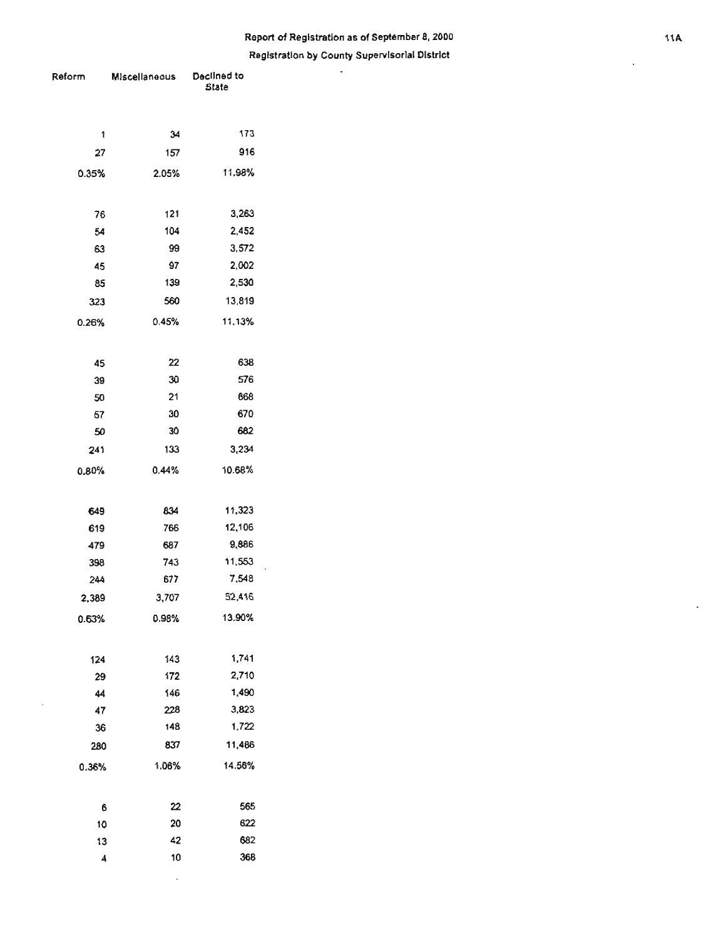# **Report of Registration as of September 8,** *2000*  **Registration by County Supervisorial District** "'

÷.

<span id="page-21-0"></span>

| Reform | Miscellaneous | Decilned to<br><b>State</b> |  |  |
|--------|---------------|-----------------------------|--|--|
| 1      | 34            | 173                         |  |  |
| 27     | 157           | 916                         |  |  |
| 0.35%  | 2.05%         | 11.98%                      |  |  |
| 76     | 121           | 3,263                       |  |  |
| 54     | 104           | 2,452                       |  |  |
| 63     | 99            | 3,572                       |  |  |
| 45     | 97            | 2,002                       |  |  |
| 85     | 139           | 2,530                       |  |  |
| 323    | 560           | 13,819                      |  |  |
| 0.26%  | 0.45%         | 11.13%                      |  |  |
| 45     | 22            | 638                         |  |  |
| 39     | 30            | 576                         |  |  |
| 50     | 21            | 668                         |  |  |
| 57     | 30            | 670                         |  |  |
| 50     | 30            | 682                         |  |  |
| 241    | 133           | 3,234                       |  |  |
| 0.80%  | 0.44%         | 10.68%                      |  |  |
| 649    | 834           | 11,323                      |  |  |
| 619    | 766           | 12,106                      |  |  |
| 479    | 687           | 9,886                       |  |  |
| 398    | 743           | 11,553                      |  |  |
| 244    | 677           | 7,548                       |  |  |
| 2,389  | 3,707         | 52,416                      |  |  |
| 0.63%  | 0.98%         | 13.90%                      |  |  |
| 124    | 143           | 1,741                       |  |  |
| 29     | 172           | 2,710                       |  |  |
| 44     | 146           | 1,490                       |  |  |
| 47     | 228           | 3,823                       |  |  |
| 36     | 148           | 1,722                       |  |  |
| 280    | 837           | 11,486                      |  |  |
| 0.36%  | 1.06%         | 14.56%                      |  |  |
| 6      | 22            | 565                         |  |  |
| 10     | 20            | 622                         |  |  |
| 13     | 42            | 682                         |  |  |
| 4      | 10            | 368                         |  |  |

i,

 $\cdot$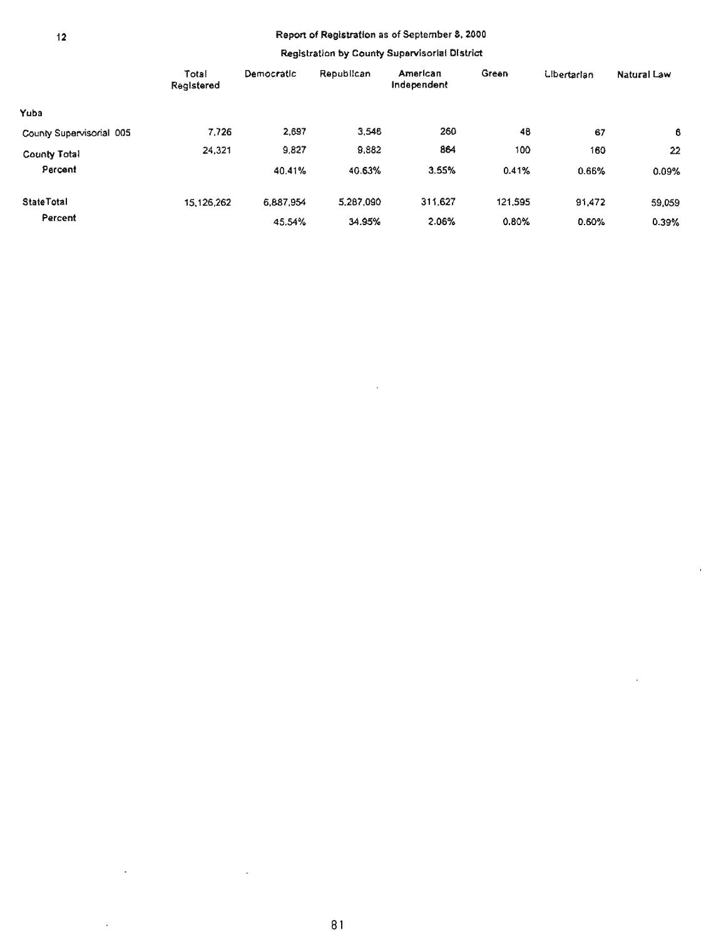# 12 Report of Registration as of September 8, 2000

#### Registration by County Supervisorial District

 $\sim$ 

|                          | Total<br>Registered | Democratic | Republican | American<br>Independent | Green   | <b>Libertarian</b> | Natural Law |
|--------------------------|---------------------|------------|------------|-------------------------|---------|--------------------|-------------|
| Yuba                     |                     |            |            |                         |         |                    |             |
| County Supervisorial 005 | 7.726               | 2,697      | 3,546      | 260                     | 48      | 67                 | 6           |
| County Total             | 24,321              | 9,827      | 9,882      | 864                     | 100     | 160                | 22          |
| Percent                  |                     | 40.41%     | 40.63%     | 3.55%                   | 0.41%   | 0.66%              | 0.09%       |
| <b>State Total</b>       | 15, 126, 262        | 6.887.954  | 5,287,090  | 311.627                 | 121.595 | 91,472             | 59,059      |
| Percent                  |                     | 45.54%     | 34.95%     | 2.06%                   | 0.80%   | 0.60%              | 0.39%       |

 $\overline{\phantom{a}}$ 

 $\sim$ 

 $\bar{z}$